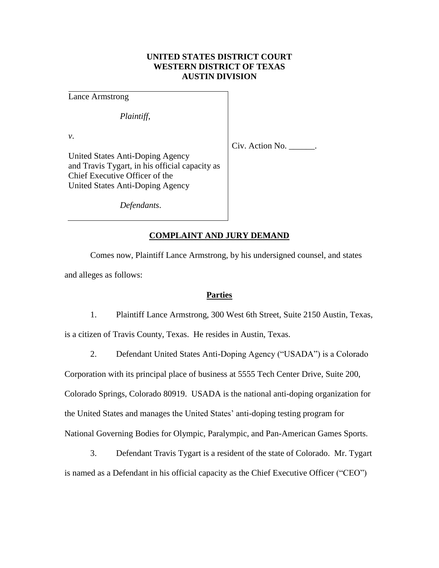# **UNITED STATES DISTRICT COURT WESTERN DISTRICT OF TEXAS AUSTIN DIVISION**

Lance Armstrong

*Plaintiff*,

*v*.

Civ. Action No. \_\_\_\_\_\_.

United States Anti-Doping Agency and Travis Tygart, in his official capacity as Chief Executive Officer of the United States Anti-Doping Agency

*Defendants*.

## **COMPLAINT AND JURY DEMAND**

Comes now, Plaintiff Lance Armstrong, by his undersigned counsel, and states and alleges as follows:

### **Parties**

1. Plaintiff Lance Armstrong, 300 West 6th Street, Suite 2150 Austin, Texas, is a citizen of Travis County, Texas. He resides in Austin, Texas.

2. Defendant United States Anti-Doping Agency ("USADA") is a Colorado

Corporation with its principal place of business at 5555 Tech Center Drive, Suite 200, Colorado Springs, Colorado 80919. USADA is the national anti-doping organization for the United States and manages the United States' anti-doping testing program for National Governing Bodies for Olympic, Paralympic, and Pan-American Games Sports.

3. Defendant Travis Tygart is a resident of the state of Colorado. Mr. Tygart is named as a Defendant in his official capacity as the Chief Executive Officer ("CEO")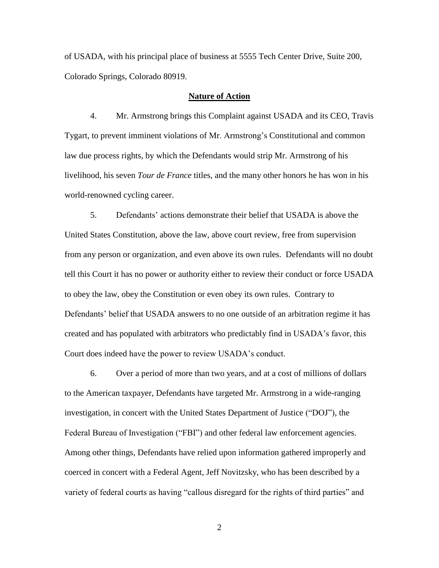of USADA, with his principal place of business at 5555 Tech Center Drive, Suite 200, Colorado Springs, Colorado 80919.

### **Nature of Action**

4. Mr. Armstrong brings this Complaint against USADA and its CEO, Travis Tygart, to prevent imminent violations of Mr. Armstrong's Constitutional and common law due process rights, by which the Defendants would strip Mr. Armstrong of his livelihood, his seven *Tour de France* titles, and the many other honors he has won in his world-renowned cycling career.

5. Defendants' actions demonstrate their belief that USADA is above the United States Constitution, above the law, above court review, free from supervision from any person or organization, and even above its own rules. Defendants will no doubt tell this Court it has no power or authority either to review their conduct or force USADA to obey the law, obey the Constitution or even obey its own rules. Contrary to Defendants' belief that USADA answers to no one outside of an arbitration regime it has created and has populated with arbitrators who predictably find in USADA's favor, this Court does indeed have the power to review USADA's conduct.

6. Over a period of more than two years, and at a cost of millions of dollars to the American taxpayer, Defendants have targeted Mr. Armstrong in a wide-ranging investigation, in concert with the United States Department of Justice ("DOJ"), the Federal Bureau of Investigation ("FBI") and other federal law enforcement agencies. Among other things, Defendants have relied upon information gathered improperly and coerced in concert with a Federal Agent, Jeff Novitzsky, who has been described by a variety of federal courts as having "callous disregard for the rights of third parties" and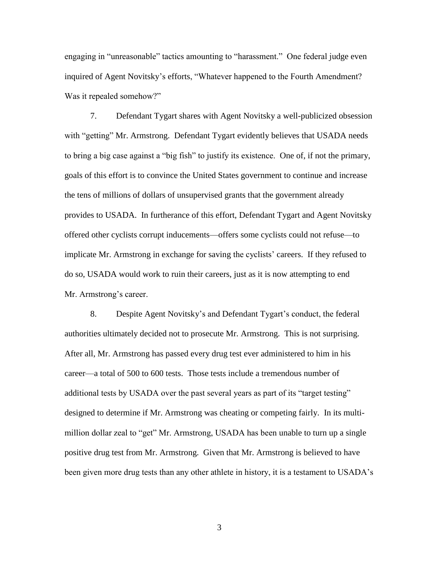engaging in "unreasonable" tactics amounting to "harassment." One federal judge even inquired of Agent Novitsky's efforts, "Whatever happened to the Fourth Amendment? Was it repealed somehow?"

7. Defendant Tygart shares with Agent Novitsky a well-publicized obsession with "getting" Mr. Armstrong. Defendant Tygart evidently believes that USADA needs to bring a big case against a "big fish" to justify its existence. One of, if not the primary, goals of this effort is to convince the United States government to continue and increase the tens of millions of dollars of unsupervised grants that the government already provides to USADA. In furtherance of this effort, Defendant Tygart and Agent Novitsky offered other cyclists corrupt inducements—offers some cyclists could not refuse—to implicate Mr. Armstrong in exchange for saving the cyclists' careers. If they refused to do so, USADA would work to ruin their careers, just as it is now attempting to end Mr. Armstrong's career.

8. Despite Agent Novitsky's and Defendant Tygart's conduct, the federal authorities ultimately decided not to prosecute Mr. Armstrong. This is not surprising. After all, Mr. Armstrong has passed every drug test ever administered to him in his career—a total of 500 to 600 tests. Those tests include a tremendous number of additional tests by USADA over the past several years as part of its "target testing" designed to determine if Mr. Armstrong was cheating or competing fairly. In its multimillion dollar zeal to "get" Mr. Armstrong, USADA has been unable to turn up a single positive drug test from Mr. Armstrong. Given that Mr. Armstrong is believed to have been given more drug tests than any other athlete in history, it is a testament to USADA's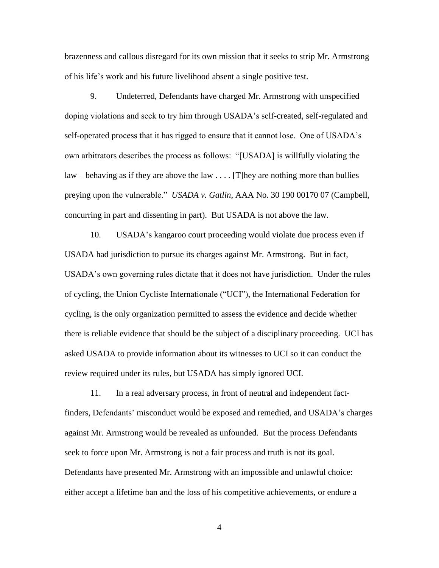brazenness and callous disregard for its own mission that it seeks to strip Mr. Armstrong of his life's work and his future livelihood absent a single positive test.

9. Undeterred, Defendants have charged Mr. Armstrong with unspecified doping violations and seek to try him through USADA's self-created, self-regulated and self-operated process that it has rigged to ensure that it cannot lose. One of USADA's own arbitrators describes the process as follows: "[USADA] is willfully violating the law – behaving as if they are above the law  $\ldots$  [T] hey are nothing more than bullies preying upon the vulnerable." *USADA v. Gatlin*, AAA No. 30 190 00170 07 (Campbell, concurring in part and dissenting in part). But USADA is not above the law.

10. USADA's kangaroo court proceeding would violate due process even if USADA had jurisdiction to pursue its charges against Mr. Armstrong. But in fact, USADA's own governing rules dictate that it does not have jurisdiction. Under the rules of cycling, the Union Cycliste Internationale ("UCI"), the International Federation for cycling, is the only organization permitted to assess the evidence and decide whether there is reliable evidence that should be the subject of a disciplinary proceeding. UCI has asked USADA to provide information about its witnesses to UCI so it can conduct the review required under its rules, but USADA has simply ignored UCI.

11. In a real adversary process, in front of neutral and independent factfinders, Defendants' misconduct would be exposed and remedied, and USADA's charges against Mr. Armstrong would be revealed as unfounded. But the process Defendants seek to force upon Mr. Armstrong is not a fair process and truth is not its goal. Defendants have presented Mr. Armstrong with an impossible and unlawful choice: either accept a lifetime ban and the loss of his competitive achievements, or endure a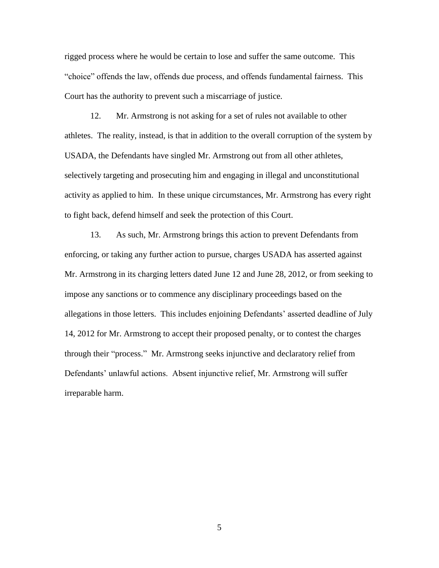rigged process where he would be certain to lose and suffer the same outcome. This "choice" offends the law, offends due process, and offends fundamental fairness. This Court has the authority to prevent such a miscarriage of justice.

12. Mr. Armstrong is not asking for a set of rules not available to other athletes. The reality, instead, is that in addition to the overall corruption of the system by USADA, the Defendants have singled Mr. Armstrong out from all other athletes, selectively targeting and prosecuting him and engaging in illegal and unconstitutional activity as applied to him. In these unique circumstances, Mr. Armstrong has every right to fight back, defend himself and seek the protection of this Court.

13. As such, Mr. Armstrong brings this action to prevent Defendants from enforcing, or taking any further action to pursue, charges USADA has asserted against Mr. Armstrong in its charging letters dated June 12 and June 28, 2012, or from seeking to impose any sanctions or to commence any disciplinary proceedings based on the allegations in those letters. This includes enjoining Defendants' asserted deadline of July 14, 2012 for Mr. Armstrong to accept their proposed penalty, or to contest the charges through their "process." Mr. Armstrong seeks injunctive and declaratory relief from Defendants' unlawful actions. Absent injunctive relief, Mr. Armstrong will suffer irreparable harm.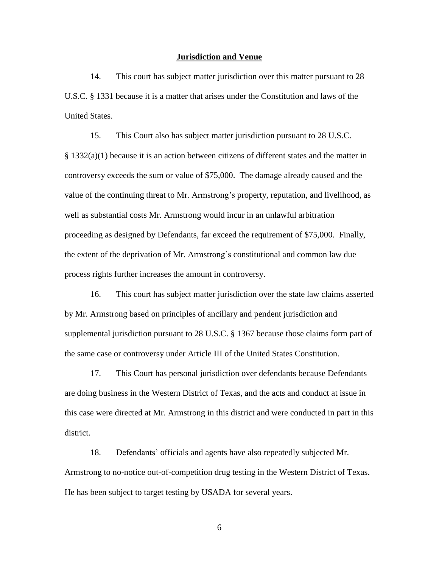#### **Jurisdiction and Venue**

14. This court has subject matter jurisdiction over this matter pursuant to 28 U.S.C. § 1331 because it is a matter that arises under the Constitution and laws of the United States.

15. This Court also has subject matter jurisdiction pursuant to 28 U.S.C. § 1332(a)(1) because it is an action between citizens of different states and the matter in controversy exceeds the sum or value of \$75,000. The damage already caused and the value of the continuing threat to Mr. Armstrong's property, reputation, and livelihood, as well as substantial costs Mr. Armstrong would incur in an unlawful arbitration proceeding as designed by Defendants, far exceed the requirement of \$75,000. Finally, the extent of the deprivation of Mr. Armstrong's constitutional and common law due process rights further increases the amount in controversy.

16. This court has subject matter jurisdiction over the state law claims asserted by Mr. Armstrong based on principles of ancillary and pendent jurisdiction and supplemental jurisdiction pursuant to 28 U.S.C. § 1367 because those claims form part of the same case or controversy under Article III of the United States Constitution.

17. This Court has personal jurisdiction over defendants because Defendants are doing business in the Western District of Texas, and the acts and conduct at issue in this case were directed at Mr. Armstrong in this district and were conducted in part in this district.

18. Defendants' officials and agents have also repeatedly subjected Mr. Armstrong to no-notice out-of-competition drug testing in the Western District of Texas. He has been subject to target testing by USADA for several years.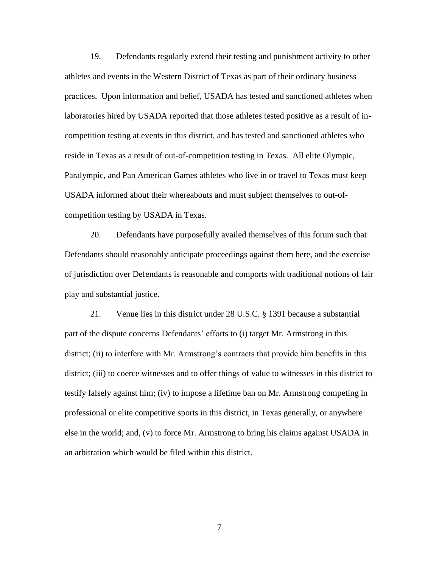19. Defendants regularly extend their testing and punishment activity to other athletes and events in the Western District of Texas as part of their ordinary business practices. Upon information and belief, USADA has tested and sanctioned athletes when laboratories hired by USADA reported that those athletes tested positive as a result of incompetition testing at events in this district, and has tested and sanctioned athletes who reside in Texas as a result of out-of-competition testing in Texas. All elite Olympic, Paralympic, and Pan American Games athletes who live in or travel to Texas must keep USADA informed about their whereabouts and must subject themselves to out-ofcompetition testing by USADA in Texas.

20. Defendants have purposefully availed themselves of this forum such that Defendants should reasonably anticipate proceedings against them here, and the exercise of jurisdiction over Defendants is reasonable and comports with traditional notions of fair play and substantial justice.

21. Venue lies in this district under 28 U.S.C. § 1391 because a substantial part of the dispute concerns Defendants' efforts to (i) target Mr. Armstrong in this district; (ii) to interfere with Mr. Armstrong's contracts that provide him benefits in this district; (iii) to coerce witnesses and to offer things of value to witnesses in this district to testify falsely against him; (iv) to impose a lifetime ban on Mr. Armstrong competing in professional or elite competitive sports in this district, in Texas generally, or anywhere else in the world; and, (v) to force Mr. Armstrong to bring his claims against USADA in an arbitration which would be filed within this district.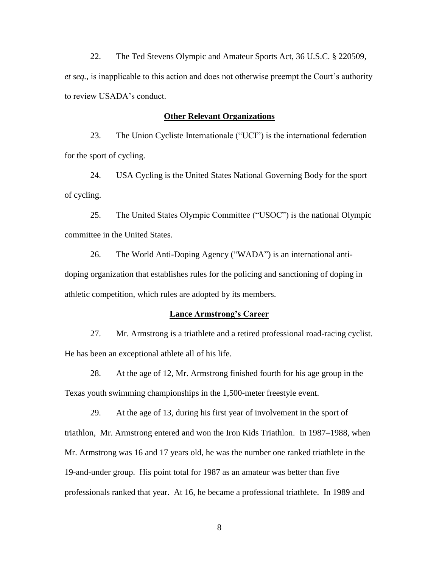22. The Ted Stevens Olympic and Amateur Sports Act, 36 U.S.C. § 220509, *et seq.*, is inapplicable to this action and does not otherwise preempt the Court's authority to review USADA's conduct.

### **Other Relevant Organizations**

23. The Union Cycliste Internationale ("UCI") is the international federation for the sport of cycling.

24. USA Cycling is the United States National Governing Body for the sport of cycling.

25. The United States Olympic Committee ("USOC") is the national Olympic committee in the United States.

26. The World Anti-Doping Agency ("WADA") is an international antidoping organization that establishes rules for the policing and sanctioning of doping in athletic competition, which rules are adopted by its members.

#### **Lance Armstrong's Career**

27. Mr. Armstrong is a triathlete and a retired professional road-racing cyclist. He has been an exceptional athlete all of his life.

28. At the age of 12, Mr. Armstrong finished fourth for his age group in the Texas youth swimming championships in the 1,500-meter freestyle event.

29. At the age of 13, during his first year of involvement in the sport of triathlon, Mr. Armstrong entered and won the Iron Kids Triathlon. In 1987–1988, when Mr. Armstrong was 16 and 17 years old, he was the number one ranked triathlete in the 19-and-under group. His point total for 1987 as an amateur was better than five professionals ranked that year. At 16, he became a professional triathlete. In 1989 and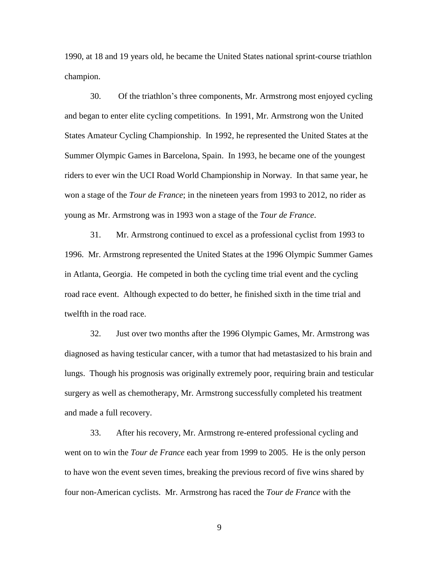1990, at 18 and 19 years old, he became the United States national sprint-course triathlon champion.

30. Of the triathlon's three components, Mr. Armstrong most enjoyed cycling and began to enter elite cycling competitions. In 1991, Mr. Armstrong won the United States Amateur Cycling Championship. In 1992, he represented the United States at the Summer Olympic Games in Barcelona, Spain. In 1993, he became one of the youngest riders to ever win the UCI Road World Championship in Norway. In that same year, he won a stage of the *Tour de France*; in the nineteen years from 1993 to 2012, no rider as young as Mr. Armstrong was in 1993 won a stage of the *Tour de France*.

31. Mr. Armstrong continued to excel as a professional cyclist from 1993 to 1996. Mr. Armstrong represented the United States at the 1996 Olympic Summer Games in Atlanta, Georgia. He competed in both the cycling time trial event and the cycling road race event. Although expected to do better, he finished sixth in the time trial and twelfth in the road race.

32. Just over two months after the 1996 Olympic Games, Mr. Armstrong was diagnosed as having testicular cancer, with a tumor that had metastasized to his brain and lungs. Though his prognosis was originally extremely poor, requiring brain and testicular surgery as well as chemotherapy, Mr. Armstrong successfully completed his treatment and made a full recovery.

33. After his recovery, Mr. Armstrong re-entered professional cycling and went on to win the *Tour de France* each year from 1999 to 2005. He is the only person to have won the event seven times, breaking the previous record of five wins shared by four non-American cyclists. Mr. Armstrong has raced the *Tour de France* with the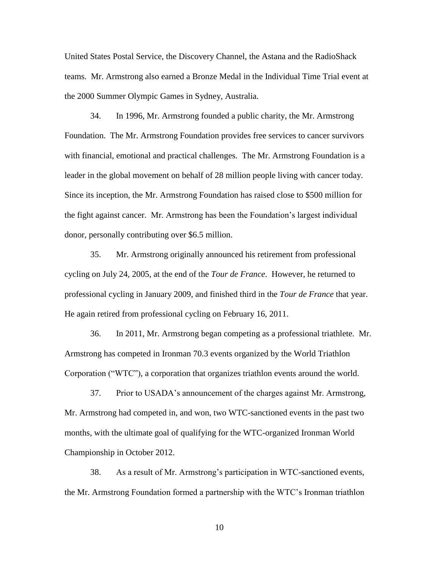United States Postal Service, the Discovery Channel, the Astana and the RadioShack teams. Mr. Armstrong also earned a Bronze Medal in the Individual Time Trial event at the 2000 Summer Olympic Games in Sydney, Australia.

34. In 1996, Mr. Armstrong founded a public charity, the Mr. Armstrong Foundation. The Mr. Armstrong Foundation provides free services to cancer survivors with financial, emotional and practical challenges. The Mr. Armstrong Foundation is a leader in the global movement on behalf of 28 million people living with cancer today. Since its inception, the Mr. Armstrong Foundation has raised close to \$500 million for the fight against cancer. Mr. Armstrong has been the Foundation's largest individual donor, personally contributing over \$6.5 million.

35. Mr. Armstrong originally announced his retirement from professional cycling on July 24, 2005, at the end of the *Tour de France*. However, he returned to professional cycling in January 2009, and finished third in the *Tour de France* that year. He again retired from professional cycling on February 16, 2011.

36. In 2011, Mr. Armstrong began competing as a professional triathlete. Mr. Armstrong has competed in Ironman 70.3 events organized by the World Triathlon Corporation ("WTC"), a corporation that organizes triathlon events around the world.

37. Prior to USADA's announcement of the charges against Mr. Armstrong, Mr. Armstrong had competed in, and won, two WTC-sanctioned events in the past two months, with the ultimate goal of qualifying for the WTC-organized Ironman World Championship in October 2012.

38. As a result of Mr. Armstrong's participation in WTC-sanctioned events, the Mr. Armstrong Foundation formed a partnership with the WTC's Ironman triathlon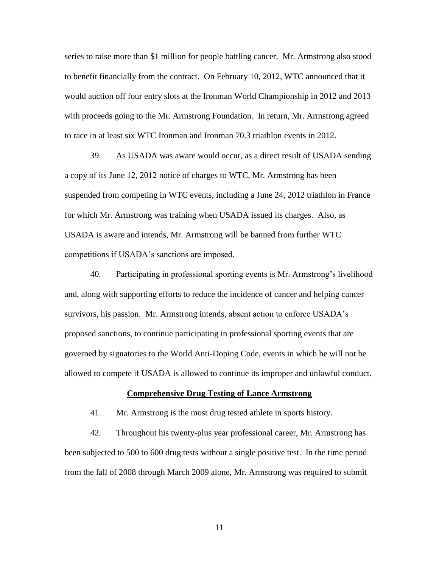series to raise more than \$1 million for people battling cancer. Mr. Armstrong also stood to benefit financially from the contract. On February 10, 2012, WTC announced that it would auction off four entry slots at the Ironman World Championship in 2012 and 2013 with proceeds going to the Mr. Armstrong Foundation. In return, Mr. Armstrong agreed to race in at least six WTC Ironman and Ironman 70.3 triathlon events in 2012.

39. As USADA was aware would occur, as a direct result of USADA sending a copy of its June 12, 2012 notice of charges to WTC, Mr. Armstrong has been suspended from competing in WTC events, including a June 24, 2012 triathlon in France for which Mr. Armstrong was training when USADA issued its charges. Also, as USADA is aware and intends, Mr. Armstrong will be banned from further WTC competitions if USADA's sanctions are imposed.

40. Participating in professional sporting events is Mr. Armstrong's livelihood and, along with supporting efforts to reduce the incidence of cancer and helping cancer survivors, his passion. Mr. Armstrong intends, absent action to enforce USADA's proposed sanctions, to continue participating in professional sporting events that are governed by signatories to the World Anti-Doping Code, events in which he will not be allowed to compete if USADA is allowed to continue its improper and unlawful conduct.

### **Comprehensive Drug Testing of Lance Armstrong**

41. Mr. Armstrong is the most drug tested athlete in sports history.

42. Throughout his twenty-plus year professional career, Mr. Armstrong has been subjected to 500 to 600 drug tests without a single positive test. In the time period from the fall of 2008 through March 2009 alone, Mr. Armstrong was required to submit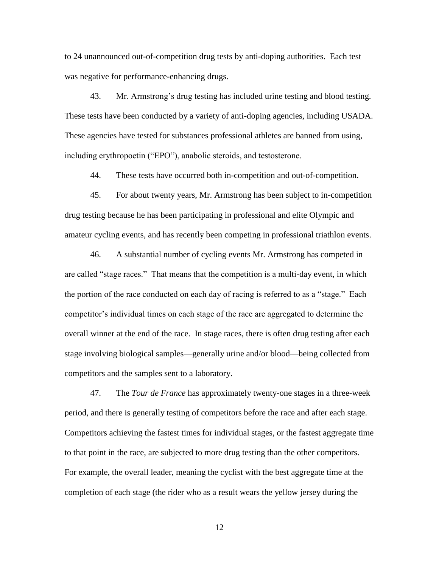to 24 unannounced out-of-competition drug tests by anti-doping authorities. Each test was negative for performance-enhancing drugs.

43. Mr. Armstrong's drug testing has included urine testing and blood testing. These tests have been conducted by a variety of anti-doping agencies, including USADA. These agencies have tested for substances professional athletes are banned from using, including erythropoetin ("EPO"), anabolic steroids, and testosterone.

44. These tests have occurred both in-competition and out-of-competition.

45. For about twenty years, Mr. Armstrong has been subject to in-competition drug testing because he has been participating in professional and elite Olympic and amateur cycling events, and has recently been competing in professional triathlon events.

46. A substantial number of cycling events Mr. Armstrong has competed in are called "stage races." That means that the competition is a multi-day event, in which the portion of the race conducted on each day of racing is referred to as a "stage." Each competitor's individual times on each stage of the race are aggregated to determine the overall winner at the end of the race. In stage races, there is often drug testing after each stage involving biological samples—generally urine and/or blood—being collected from competitors and the samples sent to a laboratory.

47. The *Tour de France* has approximately twenty-one stages in a three-week period, and there is generally testing of competitors before the race and after each stage. Competitors achieving the fastest times for individual stages, or the fastest aggregate time to that point in the race, are subjected to more drug testing than the other competitors. For example, the overall leader, meaning the cyclist with the best aggregate time at the completion of each stage (the rider who as a result wears the yellow jersey during the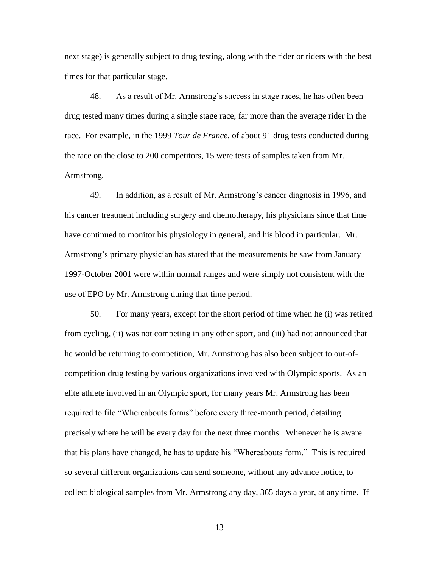next stage) is generally subject to drug testing, along with the rider or riders with the best times for that particular stage.

48. As a result of Mr. Armstrong's success in stage races, he has often been drug tested many times during a single stage race, far more than the average rider in the race. For example, in the 1999 *Tour de France*, of about 91 drug tests conducted during the race on the close to 200 competitors, 15 were tests of samples taken from Mr. Armstrong.

49. In addition, as a result of Mr. Armstrong's cancer diagnosis in 1996, and his cancer treatment including surgery and chemotherapy, his physicians since that time have continued to monitor his physiology in general, and his blood in particular. Mr. Armstrong's primary physician has stated that the measurements he saw from January 1997-October 2001 were within normal ranges and were simply not consistent with the use of EPO by Mr. Armstrong during that time period.

50. For many years, except for the short period of time when he (i) was retired from cycling, (ii) was not competing in any other sport, and (iii) had not announced that he would be returning to competition, Mr. Armstrong has also been subject to out-ofcompetition drug testing by various organizations involved with Olympic sports. As an elite athlete involved in an Olympic sport, for many years Mr. Armstrong has been required to file "Whereabouts forms" before every three-month period, detailing precisely where he will be every day for the next three months. Whenever he is aware that his plans have changed, he has to update his "Whereabouts form." This is required so several different organizations can send someone, without any advance notice, to collect biological samples from Mr. Armstrong any day, 365 days a year, at any time. If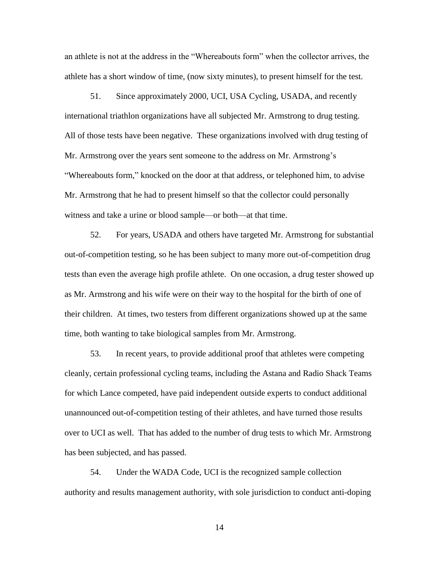an athlete is not at the address in the "Whereabouts form" when the collector arrives, the athlete has a short window of time, (now sixty minutes), to present himself for the test.

51. Since approximately 2000, UCI, USA Cycling, USADA, and recently international triathlon organizations have all subjected Mr. Armstrong to drug testing. All of those tests have been negative. These organizations involved with drug testing of Mr. Armstrong over the years sent someone to the address on Mr. Armstrong's "Whereabouts form," knocked on the door at that address, or telephoned him, to advise Mr. Armstrong that he had to present himself so that the collector could personally witness and take a urine or blood sample—or both—at that time.

52. For years, USADA and others have targeted Mr. Armstrong for substantial out-of-competition testing, so he has been subject to many more out-of-competition drug tests than even the average high profile athlete. On one occasion, a drug tester showed up as Mr. Armstrong and his wife were on their way to the hospital for the birth of one of their children. At times, two testers from different organizations showed up at the same time, both wanting to take biological samples from Mr. Armstrong.

53. In recent years, to provide additional proof that athletes were competing cleanly, certain professional cycling teams, including the Astana and Radio Shack Teams for which Lance competed, have paid independent outside experts to conduct additional unannounced out-of-competition testing of their athletes, and have turned those results over to UCI as well. That has added to the number of drug tests to which Mr. Armstrong has been subjected, and has passed.

54. Under the WADA Code, UCI is the recognized sample collection authority and results management authority, with sole jurisdiction to conduct anti-doping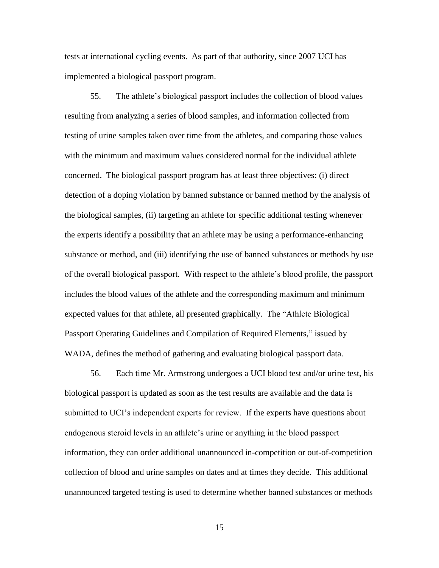tests at international cycling events. As part of that authority, since 2007 UCI has implemented a biological passport program.

55. The athlete's biological passport includes the collection of blood values resulting from analyzing a series of blood samples, and information collected from testing of urine samples taken over time from the athletes, and comparing those values with the minimum and maximum values considered normal for the individual athlete concerned. The biological passport program has at least three objectives: (i) direct detection of a doping violation by banned substance or banned method by the analysis of the biological samples, (ii) targeting an athlete for specific additional testing whenever the experts identify a possibility that an athlete may be using a performance-enhancing substance or method, and (iii) identifying the use of banned substances or methods by use of the overall biological passport. With respect to the athlete's blood profile, the passport includes the blood values of the athlete and the corresponding maximum and minimum expected values for that athlete, all presented graphically. The "Athlete Biological" Passport Operating Guidelines and Compilation of Required Elements," issued by WADA, defines the method of gathering and evaluating biological passport data.

56. Each time Mr. Armstrong undergoes a UCI blood test and/or urine test, his biological passport is updated as soon as the test results are available and the data is submitted to UCI's independent experts for review. If the experts have questions about endogenous steroid levels in an athlete's urine or anything in the blood passport information, they can order additional unannounced in-competition or out-of-competition collection of blood and urine samples on dates and at times they decide. This additional unannounced targeted testing is used to determine whether banned substances or methods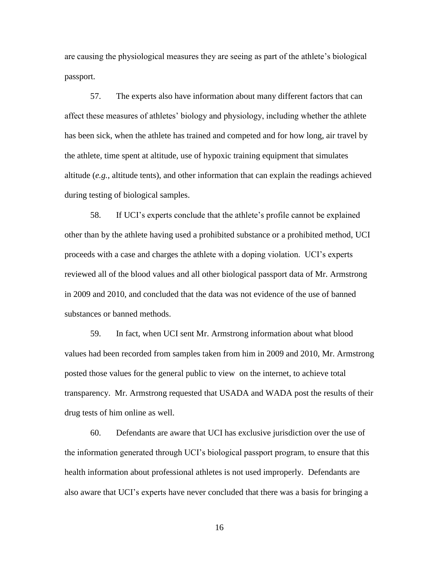are causing the physiological measures they are seeing as part of the athlete's biological passport.

57. The experts also have information about many different factors that can affect these measures of athletes' biology and physiology, including whether the athlete has been sick, when the athlete has trained and competed and for how long, air travel by the athlete, time spent at altitude, use of hypoxic training equipment that simulates altitude (*e.g.*, altitude tents), and other information that can explain the readings achieved during testing of biological samples.

58. If UCI's experts conclude that the athlete's profile cannot be explained other than by the athlete having used a prohibited substance or a prohibited method, UCI proceeds with a case and charges the athlete with a doping violation. UCI's experts reviewed all of the blood values and all other biological passport data of Mr. Armstrong in 2009 and 2010, and concluded that the data was not evidence of the use of banned substances or banned methods.

59. In fact, when UCI sent Mr. Armstrong information about what blood values had been recorded from samples taken from him in 2009 and 2010, Mr. Armstrong posted those values for the general public to view on the internet, to achieve total transparency. Mr. Armstrong requested that USADA and WADA post the results of their drug tests of him online as well.

60. Defendants are aware that UCI has exclusive jurisdiction over the use of the information generated through UCI's biological passport program, to ensure that this health information about professional athletes is not used improperly. Defendants are also aware that UCI's experts have never concluded that there was a basis for bringing a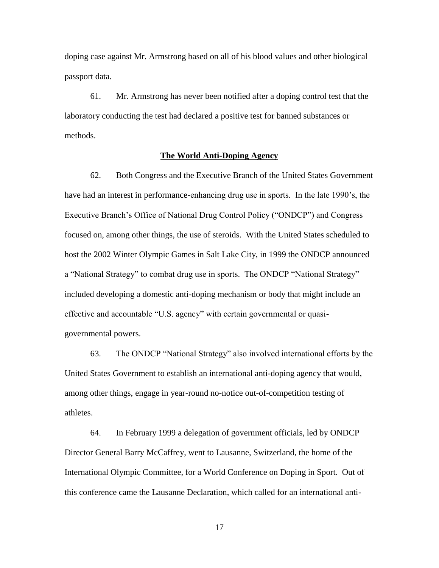doping case against Mr. Armstrong based on all of his blood values and other biological passport data.

61. Mr. Armstrong has never been notified after a doping control test that the laboratory conducting the test had declared a positive test for banned substances or methods.

## **The World Anti-Doping Agency**

62. Both Congress and the Executive Branch of the United States Government have had an interest in performance-enhancing drug use in sports. In the late 1990's, the Executive Branch's Office of National Drug Control Policy ("ONDCP") and Congress focused on, among other things, the use of steroids. With the United States scheduled to host the 2002 Winter Olympic Games in Salt Lake City, in 1999 the ONDCP announced a "National Strategy" to combat drug use in sports. The ONDCP "National Strategy" included developing a domestic anti-doping mechanism or body that might include an effective and accountable "U.S. agency" with certain governmental or quasigovernmental powers.

63. The ONDCP "National Strategy" also involved international efforts by the United States Government to establish an international anti-doping agency that would, among other things, engage in year-round no-notice out-of-competition testing of athletes.

64. In February 1999 a delegation of government officials, led by ONDCP Director General Barry McCaffrey, went to Lausanne, Switzerland, the home of the International Olympic Committee, for a World Conference on Doping in Sport. Out of this conference came the Lausanne Declaration, which called for an international anti-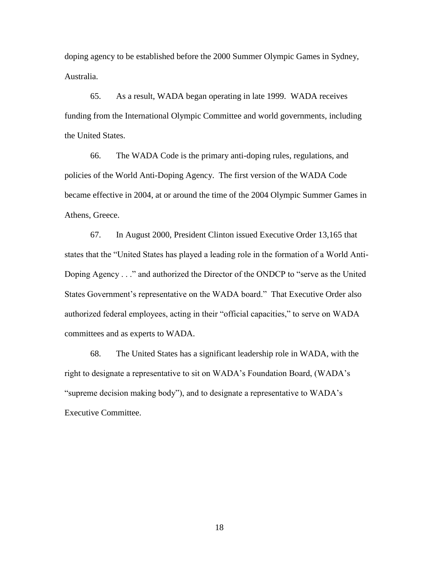doping agency to be established before the 2000 Summer Olympic Games in Sydney, Australia.

65. As a result, WADA began operating in late 1999. WADA receives funding from the International Olympic Committee and world governments, including the United States.

66. The WADA Code is the primary anti-doping rules, regulations, and policies of the World Anti-Doping Agency. The first version of the WADA Code became effective in 2004, at or around the time of the 2004 Olympic Summer Games in Athens, Greece.

67. In August 2000, President Clinton issued Executive Order 13,165 that states that the "United States has played a leading role in the formation of a World Anti-Doping Agency . . ." and authorized the Director of the ONDCP to "serve as the United States Government's representative on the WADA board." That Executive Order also authorized federal employees, acting in their "official capacities," to serve on WADA committees and as experts to WADA.

68. The United States has a significant leadership role in WADA, with the right to designate a representative to sit on WADA's Foundation Board, (WADA's "supreme decision making body"), and to designate a representative to WADA's Executive Committee.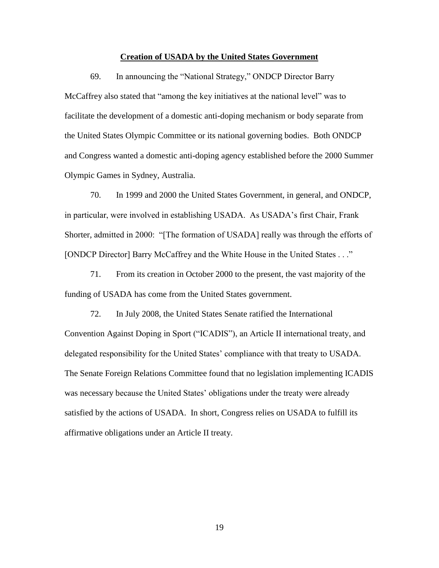### **Creation of USADA by the United States Government**

69. In announcing the "National Strategy," ONDCP Director Barry McCaffrey also stated that "among the key initiatives at the national level" was to facilitate the development of a domestic anti-doping mechanism or body separate from the United States Olympic Committee or its national governing bodies. Both ONDCP and Congress wanted a domestic anti-doping agency established before the 2000 Summer Olympic Games in Sydney, Australia.

70. In 1999 and 2000 the United States Government, in general, and ONDCP, in particular, were involved in establishing USADA. As USADA's first Chair, Frank Shorter, admitted in 2000: "[The formation of USADA] really was through the efforts of [ONDCP Director] Barry McCaffrey and the White House in the United States . . ."

71. From its creation in October 2000 to the present, the vast majority of the funding of USADA has come from the United States government.

72. In July 2008, the United States Senate ratified the International Convention Against Doping in Sport ("ICADIS"), an Article II international treaty, and delegated responsibility for the United States' compliance with that treaty to USADA. The Senate Foreign Relations Committee found that no legislation implementing ICADIS was necessary because the United States' obligations under the treaty were already satisfied by the actions of USADA. In short, Congress relies on USADA to fulfill its affirmative obligations under an Article II treaty.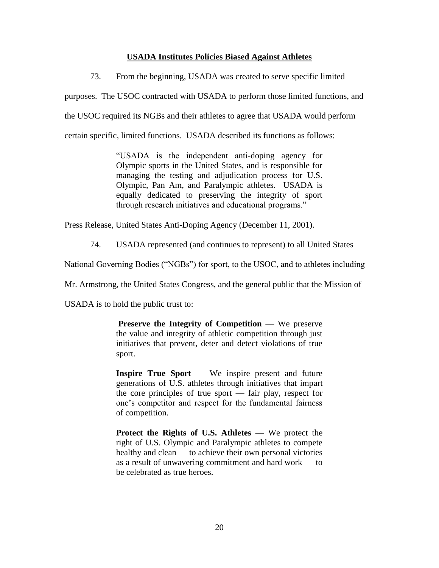# **USADA Institutes Policies Biased Against Athletes**

73. From the beginning, USADA was created to serve specific limited

purposes. The USOC contracted with USADA to perform those limited functions, and

the USOC required its NGBs and their athletes to agree that USADA would perform

certain specific, limited functions. USADA described its functions as follows:

―USADA is the independent anti-doping agency for Olympic sports in the United States, and is responsible for managing the testing and adjudication process for U.S. Olympic, Pan Am, and Paralympic athletes. USADA is equally dedicated to preserving the integrity of sport through research initiatives and educational programs."

Press Release, United States Anti-Doping Agency (December 11, 2001).

74. USADA represented (and continues to represent) to all United States

National Governing Bodies ("NGBs") for sport, to the USOC, and to athletes including

Mr. Armstrong, the United States Congress, and the general public that the Mission of

USADA is to hold the public trust to:

**Preserve the Integrity of Competition** — We preserve the value and integrity of athletic competition through just initiatives that prevent, deter and detect violations of true sport.

**Inspire True Sport** — We inspire present and future generations of U.S. athletes through initiatives that impart the core principles of true sport — fair play, respect for one's competitor and respect for the fundamental fairness of competition.

**Protect the Rights of U.S. Athletes** — We protect the right of U.S. Olympic and Paralympic athletes to compete healthy and clean — to achieve their own personal victories as a result of unwavering commitment and hard work — to be celebrated as true heroes.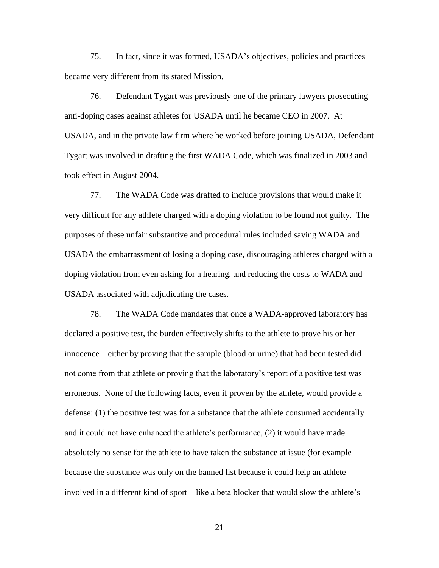75. In fact, since it was formed, USADA's objectives, policies and practices became very different from its stated Mission.

76. Defendant Tygart was previously one of the primary lawyers prosecuting anti-doping cases against athletes for USADA until he became CEO in 2007. At USADA, and in the private law firm where he worked before joining USADA, Defendant Tygart was involved in drafting the first WADA Code, which was finalized in 2003 and took effect in August 2004.

77. The WADA Code was drafted to include provisions that would make it very difficult for any athlete charged with a doping violation to be found not guilty. The purposes of these unfair substantive and procedural rules included saving WADA and USADA the embarrassment of losing a doping case, discouraging athletes charged with a doping violation from even asking for a hearing, and reducing the costs to WADA and USADA associated with adjudicating the cases.

78. The WADA Code mandates that once a WADA-approved laboratory has declared a positive test, the burden effectively shifts to the athlete to prove his or her innocence – either by proving that the sample (blood or urine) that had been tested did not come from that athlete or proving that the laboratory's report of a positive test was erroneous. None of the following facts, even if proven by the athlete, would provide a defense: (1) the positive test was for a substance that the athlete consumed accidentally and it could not have enhanced the athlete's performance, (2) it would have made absolutely no sense for the athlete to have taken the substance at issue (for example because the substance was only on the banned list because it could help an athlete involved in a different kind of sport – like a beta blocker that would slow the athlete's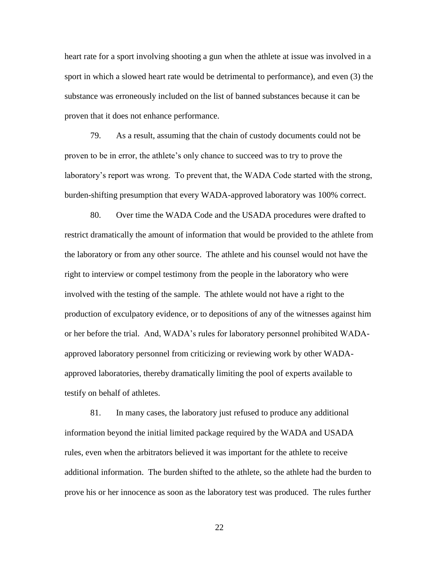heart rate for a sport involving shooting a gun when the athlete at issue was involved in a sport in which a slowed heart rate would be detrimental to performance), and even (3) the substance was erroneously included on the list of banned substances because it can be proven that it does not enhance performance.

79. As a result, assuming that the chain of custody documents could not be proven to be in error, the athlete's only chance to succeed was to try to prove the laboratory's report was wrong. To prevent that, the WADA Code started with the strong, burden-shifting presumption that every WADA-approved laboratory was 100% correct.

80. Over time the WADA Code and the USADA procedures were drafted to restrict dramatically the amount of information that would be provided to the athlete from the laboratory or from any other source. The athlete and his counsel would not have the right to interview or compel testimony from the people in the laboratory who were involved with the testing of the sample. The athlete would not have a right to the production of exculpatory evidence, or to depositions of any of the witnesses against him or her before the trial. And, WADA's rules for laboratory personnel prohibited WADAapproved laboratory personnel from criticizing or reviewing work by other WADAapproved laboratories, thereby dramatically limiting the pool of experts available to testify on behalf of athletes.

81. In many cases, the laboratory just refused to produce any additional information beyond the initial limited package required by the WADA and USADA rules, even when the arbitrators believed it was important for the athlete to receive additional information. The burden shifted to the athlete, so the athlete had the burden to prove his or her innocence as soon as the laboratory test was produced. The rules further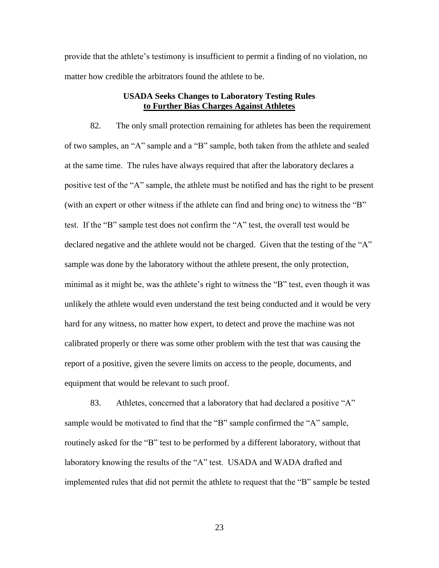provide that the athlete's testimony is insufficient to permit a finding of no violation, no matter how credible the arbitrators found the athlete to be.

# **USADA Seeks Changes to Laboratory Testing Rules to Further Bias Charges Against Athletes**

82. The only small protection remaining for athletes has been the requirement of two samples, an "A" sample and a "B" sample, both taken from the athlete and sealed at the same time. The rules have always required that after the laboratory declares a positive test of the "A" sample, the athlete must be notified and has the right to be present (with an expert or other witness if the athlete can find and bring one) to witness the "B" test. If the "B" sample test does not confirm the "A" test, the overall test would be declared negative and the athlete would not be charged. Given that the testing of the "A" sample was done by the laboratory without the athlete present, the only protection, minimal as it might be, was the athlete's right to witness the "B" test, even though it was unlikely the athlete would even understand the test being conducted and it would be very hard for any witness, no matter how expert, to detect and prove the machine was not calibrated properly or there was some other problem with the test that was causing the report of a positive, given the severe limits on access to the people, documents, and equipment that would be relevant to such proof.

83. Athletes, concerned that a laboratory that had declared a positive "A" sample would be motivated to find that the "B" sample confirmed the "A" sample, routinely asked for the "B" test to be performed by a different laboratory, without that laboratory knowing the results of the "A" test. USADA and WADA drafted and implemented rules that did not permit the athlete to request that the "B" sample be tested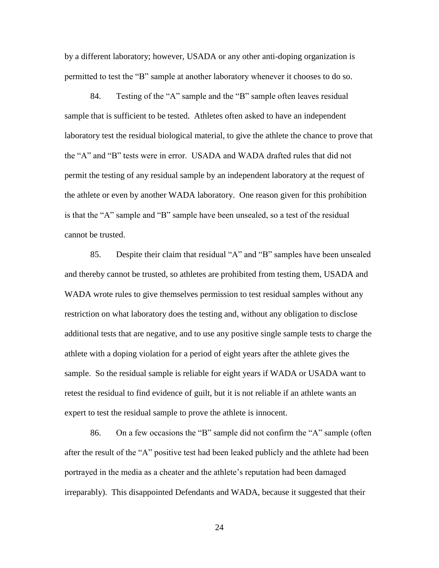by a different laboratory; however, USADA or any other anti-doping organization is permitted to test the "B" sample at another laboratory whenever it chooses to do so.

84. Testing of the "A" sample and the "B" sample often leaves residual sample that is sufficient to be tested. Athletes often asked to have an independent laboratory test the residual biological material, to give the athlete the chance to prove that the "A" and "B" tests were in error. USADA and WADA drafted rules that did not permit the testing of any residual sample by an independent laboratory at the request of the athlete or even by another WADA laboratory. One reason given for this prohibition is that the "A" sample and "B" sample have been unsealed, so a test of the residual cannot be trusted.

85. Despite their claim that residual "A" and "B" samples have been unsealed and thereby cannot be trusted, so athletes are prohibited from testing them, USADA and WADA wrote rules to give themselves permission to test residual samples without any restriction on what laboratory does the testing and, without any obligation to disclose additional tests that are negative, and to use any positive single sample tests to charge the athlete with a doping violation for a period of eight years after the athlete gives the sample. So the residual sample is reliable for eight years if WADA or USADA want to retest the residual to find evidence of guilt, but it is not reliable if an athlete wants an expert to test the residual sample to prove the athlete is innocent.

86. On a few occasions the "B" sample did not confirm the "A" sample (often after the result of the "A" positive test had been leaked publicly and the athlete had been portrayed in the media as a cheater and the athlete's reputation had been damaged irreparably). This disappointed Defendants and WADA, because it suggested that their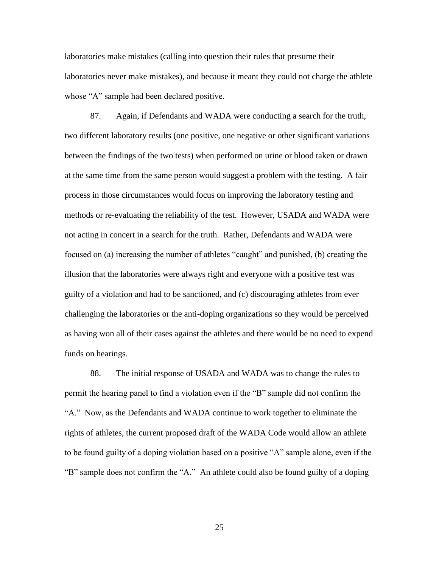laboratories make mistakes (calling into question their rules that presume their laboratories never make mistakes), and because it meant they could not charge the athlete whose "A" sample had been declared positive.

87. Again, if Defendants and WADA were conducting a search for the truth, two different laboratory results (one positive, one negative or other significant variations between the findings of the two tests) when performed on urine or blood taken or drawn at the same time from the same person would suggest a problem with the testing. A fair process in those circumstances would focus on improving the laboratory testing and methods or re-evaluating the reliability of the test. However, USADA and WADA were not acting in concert in a search for the truth. Rather, Defendants and WADA were focused on (a) increasing the number of athletes "caught" and punished, (b) creating the illusion that the laboratories were always right and everyone with a positive test was guilty of a violation and had to be sanctioned, and (c) discouraging athletes from ever challenging the laboratories or the anti-doping organizations so they would be perceived as having won all of their cases against the athletes and there would be no need to expend funds on hearings.

88. The initial response of USADA and WADA was to change the rules to permit the hearing panel to find a violation even if the "B" sample did not confirm the "A." Now, as the Defendants and WADA continue to work together to eliminate the rights of athletes, the current proposed draft of the WADA Code would allow an athlete to be found guilty of a doping violation based on a positive "A" sample alone, even if the "B" sample does not confirm the "A." An athlete could also be found guilty of a doping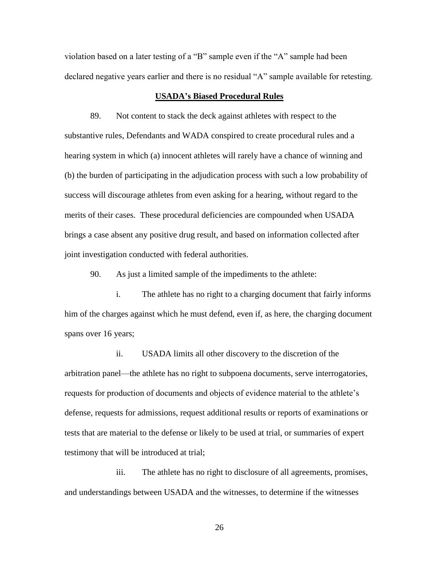violation based on a later testing of a "B" sample even if the "A" sample had been declared negative years earlier and there is no residual "A" sample available for retesting.

## **USADA's Biased Procedural Rules**

89. Not content to stack the deck against athletes with respect to the substantive rules, Defendants and WADA conspired to create procedural rules and a hearing system in which (a) innocent athletes will rarely have a chance of winning and (b) the burden of participating in the adjudication process with such a low probability of success will discourage athletes from even asking for a hearing, without regard to the merits of their cases. These procedural deficiencies are compounded when USADA brings a case absent any positive drug result, and based on information collected after joint investigation conducted with federal authorities.

90. As just a limited sample of the impediments to the athlete:

i. The athlete has no right to a charging document that fairly informs him of the charges against which he must defend, even if, as here, the charging document spans over 16 years;

ii. USADA limits all other discovery to the discretion of the arbitration panel—the athlete has no right to subpoena documents, serve interrogatories, requests for production of documents and objects of evidence material to the athlete's defense, requests for admissions, request additional results or reports of examinations or tests that are material to the defense or likely to be used at trial, or summaries of expert testimony that will be introduced at trial;

iii. The athlete has no right to disclosure of all agreements, promises, and understandings between USADA and the witnesses, to determine if the witnesses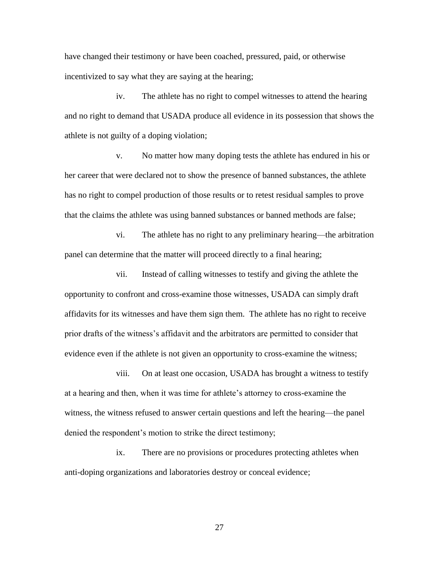have changed their testimony or have been coached, pressured, paid, or otherwise incentivized to say what they are saying at the hearing;

iv. The athlete has no right to compel witnesses to attend the hearing and no right to demand that USADA produce all evidence in its possession that shows the athlete is not guilty of a doping violation;

v. No matter how many doping tests the athlete has endured in his or her career that were declared not to show the presence of banned substances, the athlete has no right to compel production of those results or to retest residual samples to prove that the claims the athlete was using banned substances or banned methods are false;

vi. The athlete has no right to any preliminary hearing—the arbitration panel can determine that the matter will proceed directly to a final hearing;

vii. Instead of calling witnesses to testify and giving the athlete the opportunity to confront and cross-examine those witnesses, USADA can simply draft affidavits for its witnesses and have them sign them. The athlete has no right to receive prior drafts of the witness's affidavit and the arbitrators are permitted to consider that evidence even if the athlete is not given an opportunity to cross-examine the witness;

viii. On at least one occasion, USADA has brought a witness to testify at a hearing and then, when it was time for athlete's attorney to cross-examine the witness, the witness refused to answer certain questions and left the hearing—the panel denied the respondent's motion to strike the direct testimony;

ix. There are no provisions or procedures protecting athletes when anti-doping organizations and laboratories destroy or conceal evidence;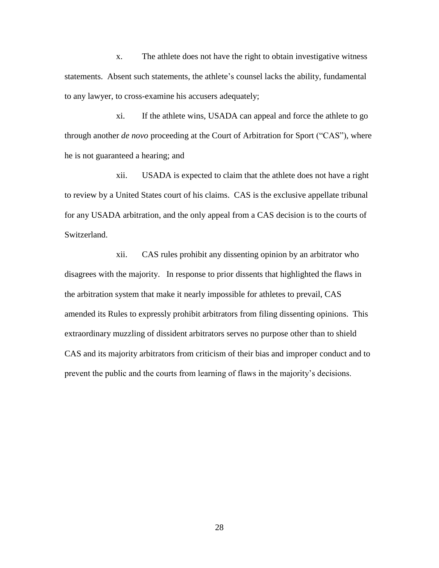x. The athlete does not have the right to obtain investigative witness statements. Absent such statements, the athlete's counsel lacks the ability, fundamental to any lawyer, to cross-examine his accusers adequately;

xi. If the athlete wins, USADA can appeal and force the athlete to go through another *de novo* proceeding at the Court of Arbitration for Sport ("CAS"), where he is not guaranteed a hearing; and

xii. USADA is expected to claim that the athlete does not have a right to review by a United States court of his claims. CAS is the exclusive appellate tribunal for any USADA arbitration, and the only appeal from a CAS decision is to the courts of Switzerland.

xii. CAS rules prohibit any dissenting opinion by an arbitrator who disagrees with the majority. In response to prior dissents that highlighted the flaws in the arbitration system that make it nearly impossible for athletes to prevail, CAS amended its Rules to expressly prohibit arbitrators from filing dissenting opinions. This extraordinary muzzling of dissident arbitrators serves no purpose other than to shield CAS and its majority arbitrators from criticism of their bias and improper conduct and to prevent the public and the courts from learning of flaws in the majority's decisions.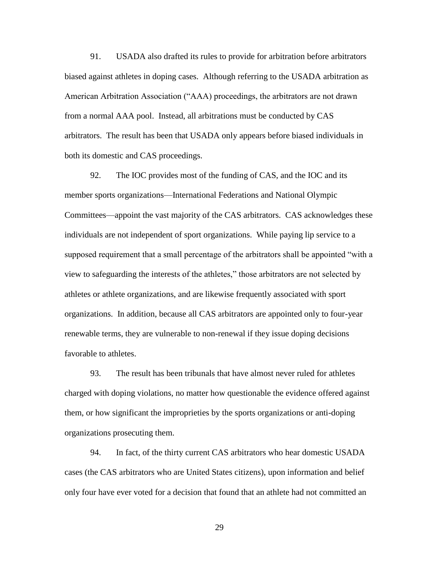91. USADA also drafted its rules to provide for arbitration before arbitrators biased against athletes in doping cases. Although referring to the USADA arbitration as American Arbitration Association ("AAA) proceedings, the arbitrators are not drawn from a normal AAA pool. Instead, all arbitrations must be conducted by CAS arbitrators. The result has been that USADA only appears before biased individuals in both its domestic and CAS proceedings.

92. The IOC provides most of the funding of CAS, and the IOC and its member sports organizations—International Federations and National Olympic Committees—appoint the vast majority of the CAS arbitrators. CAS acknowledges these individuals are not independent of sport organizations. While paying lip service to a supposed requirement that a small percentage of the arbitrators shall be appointed "with a view to safeguarding the interests of the athletes,‖ those arbitrators are not selected by athletes or athlete organizations, and are likewise frequently associated with sport organizations. In addition, because all CAS arbitrators are appointed only to four-year renewable terms, they are vulnerable to non-renewal if they issue doping decisions favorable to athletes.

93. The result has been tribunals that have almost never ruled for athletes charged with doping violations, no matter how questionable the evidence offered against them, or how significant the improprieties by the sports organizations or anti-doping organizations prosecuting them.

94. In fact, of the thirty current CAS arbitrators who hear domestic USADA cases (the CAS arbitrators who are United States citizens), upon information and belief only four have ever voted for a decision that found that an athlete had not committed an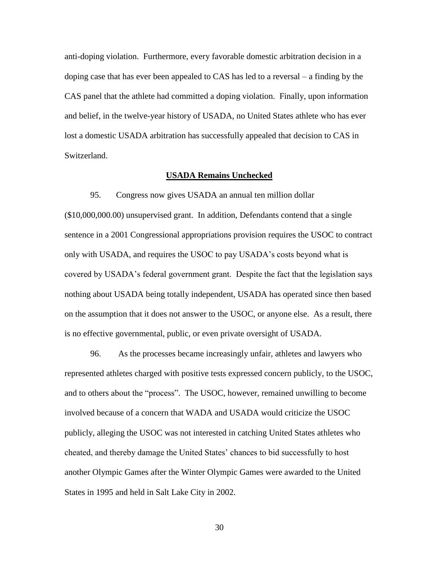anti-doping violation. Furthermore, every favorable domestic arbitration decision in a doping case that has ever been appealed to CAS has led to a reversal – a finding by the CAS panel that the athlete had committed a doping violation. Finally, upon information and belief, in the twelve-year history of USADA, no United States athlete who has ever lost a domestic USADA arbitration has successfully appealed that decision to CAS in Switzerland.

#### **USADA Remains Unchecked**

95. Congress now gives USADA an annual ten million dollar (\$10,000,000.00) unsupervised grant. In addition, Defendants contend that a single sentence in a 2001 Congressional appropriations provision requires the USOC to contract only with USADA, and requires the USOC to pay USADA's costs beyond what is covered by USADA's federal government grant. Despite the fact that the legislation says nothing about USADA being totally independent, USADA has operated since then based on the assumption that it does not answer to the USOC, or anyone else. As a result, there is no effective governmental, public, or even private oversight of USADA.

96. As the processes became increasingly unfair, athletes and lawyers who represented athletes charged with positive tests expressed concern publicly, to the USOC, and to others about the "process". The USOC, however, remained unwilling to become involved because of a concern that WADA and USADA would criticize the USOC publicly, alleging the USOC was not interested in catching United States athletes who cheated, and thereby damage the United States' chances to bid successfully to host another Olympic Games after the Winter Olympic Games were awarded to the United States in 1995 and held in Salt Lake City in 2002.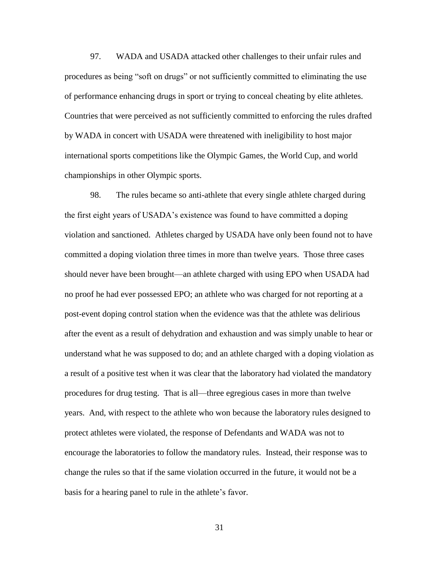97. WADA and USADA attacked other challenges to their unfair rules and procedures as being "soft on drugs" or not sufficiently committed to eliminating the use of performance enhancing drugs in sport or trying to conceal cheating by elite athletes. Countries that were perceived as not sufficiently committed to enforcing the rules drafted by WADA in concert with USADA were threatened with ineligibility to host major international sports competitions like the Olympic Games, the World Cup, and world championships in other Olympic sports.

98. The rules became so anti-athlete that every single athlete charged during the first eight years of USADA's existence was found to have committed a doping violation and sanctioned. Athletes charged by USADA have only been found not to have committed a doping violation three times in more than twelve years. Those three cases should never have been brought—an athlete charged with using EPO when USADA had no proof he had ever possessed EPO; an athlete who was charged for not reporting at a post-event doping control station when the evidence was that the athlete was delirious after the event as a result of dehydration and exhaustion and was simply unable to hear or understand what he was supposed to do; and an athlete charged with a doping violation as a result of a positive test when it was clear that the laboratory had violated the mandatory procedures for drug testing. That is all—three egregious cases in more than twelve years. And, with respect to the athlete who won because the laboratory rules designed to protect athletes were violated, the response of Defendants and WADA was not to encourage the laboratories to follow the mandatory rules. Instead, their response was to change the rules so that if the same violation occurred in the future, it would not be a basis for a hearing panel to rule in the athlete's favor.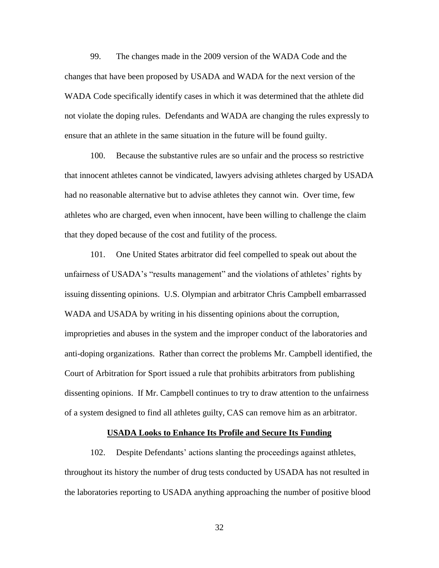99. The changes made in the 2009 version of the WADA Code and the changes that have been proposed by USADA and WADA for the next version of the WADA Code specifically identify cases in which it was determined that the athlete did not violate the doping rules. Defendants and WADA are changing the rules expressly to ensure that an athlete in the same situation in the future will be found guilty.

100. Because the substantive rules are so unfair and the process so restrictive that innocent athletes cannot be vindicated, lawyers advising athletes charged by USADA had no reasonable alternative but to advise athletes they cannot win. Over time, few athletes who are charged, even when innocent, have been willing to challenge the claim that they doped because of the cost and futility of the process.

101. One United States arbitrator did feel compelled to speak out about the unfairness of USADA's "results management" and the violations of athletes' rights by issuing dissenting opinions. U.S. Olympian and arbitrator Chris Campbell embarrassed WADA and USADA by writing in his dissenting opinions about the corruption, improprieties and abuses in the system and the improper conduct of the laboratories and anti-doping organizations. Rather than correct the problems Mr. Campbell identified, the Court of Arbitration for Sport issued a rule that prohibits arbitrators from publishing dissenting opinions. If Mr. Campbell continues to try to draw attention to the unfairness of a system designed to find all athletes guilty, CAS can remove him as an arbitrator.

#### **USADA Looks to Enhance Its Profile and Secure Its Funding**

102. Despite Defendants' actions slanting the proceedings against athletes, throughout its history the number of drug tests conducted by USADA has not resulted in the laboratories reporting to USADA anything approaching the number of positive blood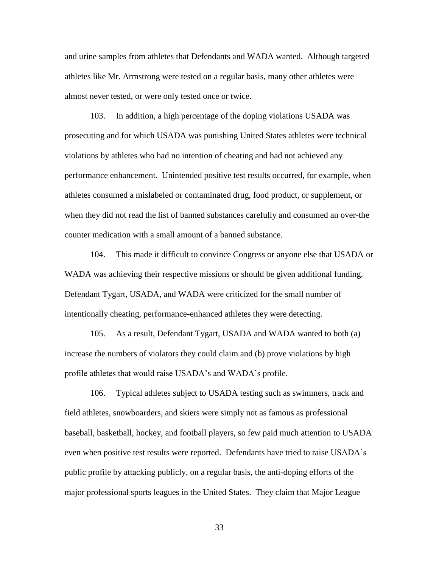and urine samples from athletes that Defendants and WADA wanted. Although targeted athletes like Mr. Armstrong were tested on a regular basis, many other athletes were almost never tested, or were only tested once or twice.

103. In addition, a high percentage of the doping violations USADA was prosecuting and for which USADA was punishing United States athletes were technical violations by athletes who had no intention of cheating and had not achieved any performance enhancement. Unintended positive test results occurred, for example, when athletes consumed a mislabeled or contaminated drug, food product, or supplement, or when they did not read the list of banned substances carefully and consumed an over-the counter medication with a small amount of a banned substance.

104. This made it difficult to convince Congress or anyone else that USADA or WADA was achieving their respective missions or should be given additional funding. Defendant Tygart, USADA, and WADA were criticized for the small number of intentionally cheating, performance-enhanced athletes they were detecting.

105. As a result, Defendant Tygart, USADA and WADA wanted to both (a) increase the numbers of violators they could claim and (b) prove violations by high profile athletes that would raise USADA's and WADA's profile.

106. Typical athletes subject to USADA testing such as swimmers, track and field athletes, snowboarders, and skiers were simply not as famous as professional baseball, basketball, hockey, and football players, so few paid much attention to USADA even when positive test results were reported. Defendants have tried to raise USADA's public profile by attacking publicly, on a regular basis, the anti-doping efforts of the major professional sports leagues in the United States. They claim that Major League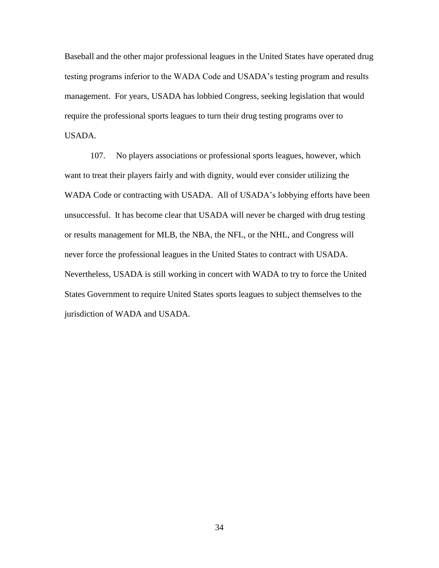Baseball and the other major professional leagues in the United States have operated drug testing programs inferior to the WADA Code and USADA's testing program and results management. For years, USADA has lobbied Congress, seeking legislation that would require the professional sports leagues to turn their drug testing programs over to USADA.

107. No players associations or professional sports leagues, however, which want to treat their players fairly and with dignity, would ever consider utilizing the WADA Code or contracting with USADA. All of USADA's lobbying efforts have been unsuccessful. It has become clear that USADA will never be charged with drug testing or results management for MLB, the NBA, the NFL, or the NHL, and Congress will never force the professional leagues in the United States to contract with USADA. Nevertheless, USADA is still working in concert with WADA to try to force the United States Government to require United States sports leagues to subject themselves to the jurisdiction of WADA and USADA.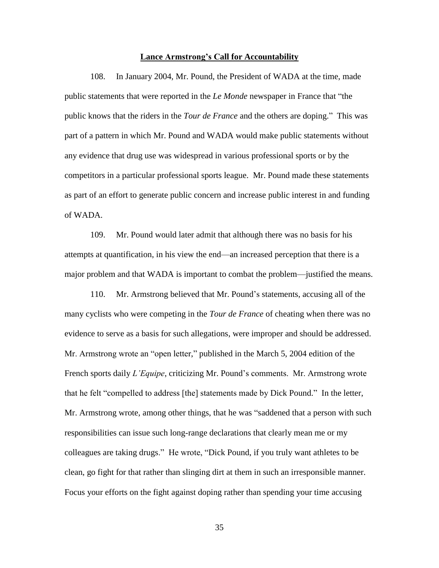#### **Lance Armstrong's Call for Accountability**

108. In January 2004, Mr. Pound, the President of WADA at the time, made public statements that were reported in the *Le Monde* newspaper in France that "the public knows that the riders in the *Tour de France* and the others are doping.‖ This was part of a pattern in which Mr. Pound and WADA would make public statements without any evidence that drug use was widespread in various professional sports or by the competitors in a particular professional sports league. Mr. Pound made these statements as part of an effort to generate public concern and increase public interest in and funding of WADA.

109. Mr. Pound would later admit that although there was no basis for his attempts at quantification, in his view the end—an increased perception that there is a major problem and that WADA is important to combat the problem—justified the means.

110. Mr. Armstrong believed that Mr. Pound's statements, accusing all of the many cyclists who were competing in the *Tour de France* of cheating when there was no evidence to serve as a basis for such allegations, were improper and should be addressed. Mr. Armstrong wrote an "open letter," published in the March 5, 2004 edition of the French sports daily *L'Equipe*, criticizing Mr. Pound's comments. Mr. Armstrong wrote that he felt "compelled to address [the] statements made by Dick Pound." In the letter, Mr. Armstrong wrote, among other things, that he was "saddened that a person with such responsibilities can issue such long-range declarations that clearly mean me or my colleagues are taking drugs." He wrote, "Dick Pound, if you truly want athletes to be clean, go fight for that rather than slinging dirt at them in such an irresponsible manner. Focus your efforts on the fight against doping rather than spending your time accusing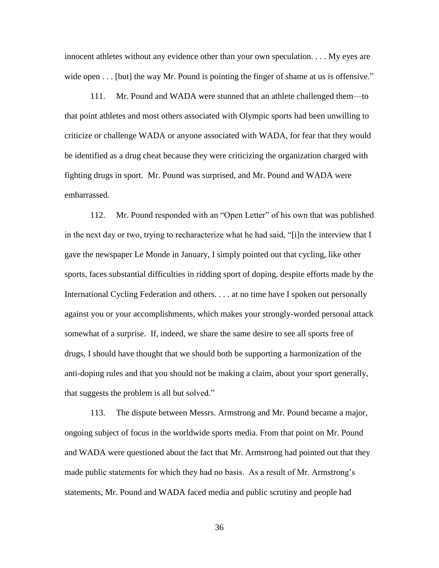innocent athletes without any evidence other than your own speculation. . . . My eyes are wide open  $\dots$  [but] the way Mr. Pound is pointing the finger of shame at us is offensive."

111. Mr. Pound and WADA were stunned that an athlete challenged them—to that point athletes and most others associated with Olympic sports had been unwilling to criticize or challenge WADA or anyone associated with WADA, for fear that they would be identified as a drug cheat because they were criticizing the organization charged with fighting drugs in sport. Mr. Pound was surprised, and Mr. Pound and WADA were embarrassed.

112. Mr. Pound responded with an "Open Letter" of his own that was published in the next day or two, trying to recharacterize what he had said, " $[i]$ n the interview that I gave the newspaper Le Monde in January, I simply pointed out that cycling, like other sports, faces substantial difficulties in ridding sport of doping, despite efforts made by the International Cycling Federation and others. . . . at no time have I spoken out personally against you or your accomplishments, which makes your strongly-worded personal attack somewhat of a surprise. If, indeed, we share the same desire to see all sports free of drugs, I should have thought that we should both be supporting a harmonization of the anti-doping rules and that you should not be making a claim, about your sport generally, that suggests the problem is all but solved."

113. The dispute between Messrs. Armstrong and Mr. Pound became a major, ongoing subject of focus in the worldwide sports media. From that point on Mr. Pound and WADA were questioned about the fact that Mr. Armstrong had pointed out that they made public statements for which they had no basis. As a result of Mr. Armstrong's statements, Mr. Pound and WADA faced media and public scrutiny and people had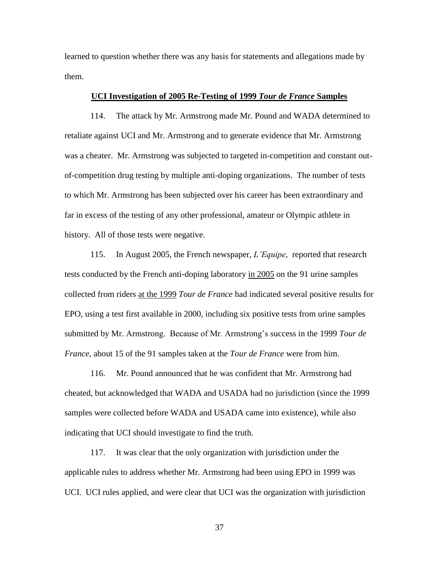learned to question whether there was any basis for statements and allegations made by them.

### **UCI Investigation of 2005 Re-Testing of 1999** *Tour de France* **Samples**

114. The attack by Mr. Armstrong made Mr. Pound and WADA determined to retaliate against UCI and Mr. Armstrong and to generate evidence that Mr. Armstrong was a cheater. Mr. Armstrong was subjected to targeted in-competition and constant outof-competition drug testing by multiple anti-doping organizations. The number of tests to which Mr. Armstrong has been subjected over his career has been extraordinary and far in excess of the testing of any other professional, amateur or Olympic athlete in history. All of those tests were negative.

115. In August 2005, the French newspaper, *L'Equipe*, reported that research tests conducted by the French anti-doping laboratory in 2005 on the 91 urine samples collected from riders at the 1999 *Tour de France* had indicated several positive results for EPO, using a test first available in 2000, including six positive tests from urine samples submitted by Mr. Armstrong. Because of Mr. Armstrong's success in the 1999 *Tour de France*, about 15 of the 91 samples taken at the *Tour de France* were from him.

116. Mr. Pound announced that he was confident that Mr. Armstrong had cheated, but acknowledged that WADA and USADA had no jurisdiction (since the 1999 samples were collected before WADA and USADA came into existence), while also indicating that UCI should investigate to find the truth.

117. It was clear that the only organization with jurisdiction under the applicable rules to address whether Mr. Armstrong had been using EPO in 1999 was UCI. UCI rules applied, and were clear that UCI was the organization with jurisdiction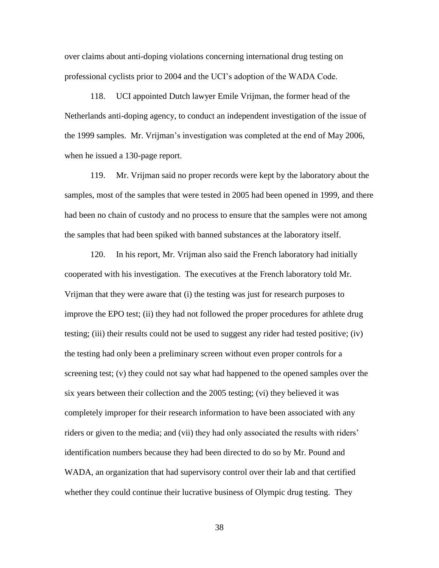over claims about anti-doping violations concerning international drug testing on professional cyclists prior to 2004 and the UCI's adoption of the WADA Code.

118. UCI appointed Dutch lawyer Emile Vrijman, the former head of the Netherlands anti-doping agency, to conduct an independent investigation of the issue of the 1999 samples. Mr. Vrijman's investigation was completed at the end of May 2006, when he issued a 130-page report.

119. Mr. Vrijman said no proper records were kept by the laboratory about the samples, most of the samples that were tested in 2005 had been opened in 1999, and there had been no chain of custody and no process to ensure that the samples were not among the samples that had been spiked with banned substances at the laboratory itself.

120. In his report, Mr. Vrijman also said the French laboratory had initially cooperated with his investigation. The executives at the French laboratory told Mr. Vrijman that they were aware that (i) the testing was just for research purposes to improve the EPO test; (ii) they had not followed the proper procedures for athlete drug testing; (iii) their results could not be used to suggest any rider had tested positive; (iv) the testing had only been a preliminary screen without even proper controls for a screening test; (v) they could not say what had happened to the opened samples over the six years between their collection and the 2005 testing; (vi) they believed it was completely improper for their research information to have been associated with any riders or given to the media; and (vii) they had only associated the results with riders' identification numbers because they had been directed to do so by Mr. Pound and WADA, an organization that had supervisory control over their lab and that certified whether they could continue their lucrative business of Olympic drug testing. They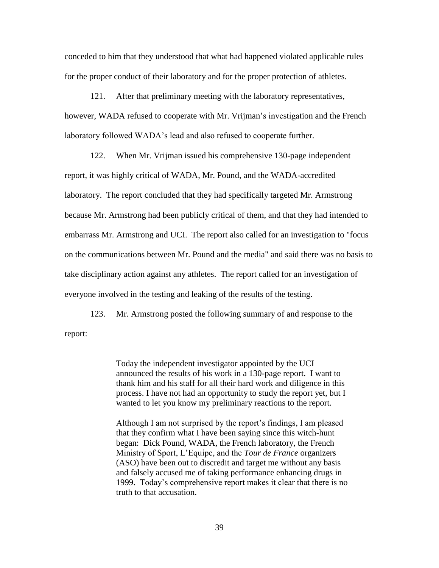conceded to him that they understood that what had happened violated applicable rules for the proper conduct of their laboratory and for the proper protection of athletes.

121. After that preliminary meeting with the laboratory representatives, however, WADA refused to cooperate with Mr. Vrijman's investigation and the French laboratory followed WADA's lead and also refused to cooperate further.

122. When Mr. Vrijman issued his comprehensive 130-page independent report, it was highly critical of WADA, Mr. Pound, and the WADA-accredited laboratory. The report concluded that they had specifically targeted Mr. Armstrong because Mr. Armstrong had been publicly critical of them, and that they had intended to embarrass Mr. Armstrong and UCI. The report also called for an investigation to "focus on the communications between Mr. Pound and the media" and said there was no basis to take disciplinary action against any athletes. The report called for an investigation of everyone involved in the testing and leaking of the results of the testing.

123. Mr. Armstrong posted the following summary of and response to the report:

> Today the independent investigator appointed by the UCI announced the results of his work in a 130-page report. I want to thank him and his staff for all their hard work and diligence in this process. I have not had an opportunity to study the report yet, but I wanted to let you know my preliminary reactions to the report.

> Although I am not surprised by the report's findings, I am pleased that they confirm what I have been saying since this witch-hunt began: Dick Pound, WADA, the French laboratory, the French Ministry of Sport, L'Equipe, and the *Tour de France* organizers (ASO) have been out to discredit and target me without any basis and falsely accused me of taking performance enhancing drugs in 1999. Today's comprehensive report makes it clear that there is no truth to that accusation.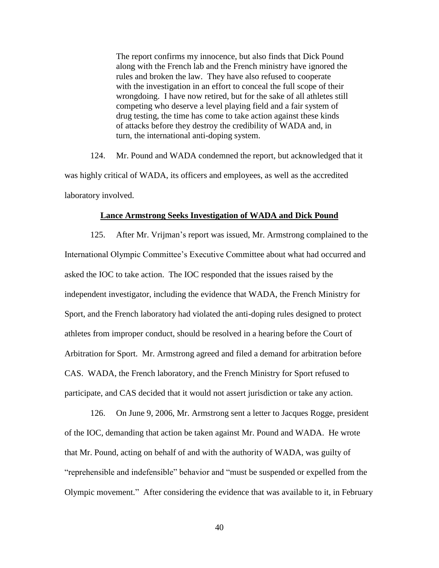The report confirms my innocence, but also finds that Dick Pound along with the French lab and the French ministry have ignored the rules and broken the law. They have also refused to cooperate with the investigation in an effort to conceal the full scope of their wrongdoing. I have now retired, but for the sake of all athletes still competing who deserve a level playing field and a fair system of drug testing, the time has come to take action against these kinds of attacks before they destroy the credibility of WADA and, in turn, the international anti-doping system.

124. Mr. Pound and WADA condemned the report, but acknowledged that it was highly critical of WADA, its officers and employees, as well as the accredited laboratory involved.

#### **Lance Armstrong Seeks Investigation of WADA and Dick Pound**

125. After Mr. Vrijman's report was issued, Mr. Armstrong complained to the International Olympic Committee's Executive Committee about what had occurred and asked the IOC to take action. The IOC responded that the issues raised by the independent investigator, including the evidence that WADA, the French Ministry for Sport, and the French laboratory had violated the anti-doping rules designed to protect athletes from improper conduct, should be resolved in a hearing before the Court of Arbitration for Sport. Mr. Armstrong agreed and filed a demand for arbitration before CAS. WADA, the French laboratory, and the French Ministry for Sport refused to participate, and CAS decided that it would not assert jurisdiction or take any action.

126. On June 9, 2006, Mr. Armstrong sent a letter to Jacques Rogge, president of the IOC, demanding that action be taken against Mr. Pound and WADA. He wrote that Mr. Pound, acting on behalf of and with the authority of WADA, was guilty of "reprehensible and indefensible" behavior and "must be suspended or expelled from the Olympic movement.‖ After considering the evidence that was available to it, in February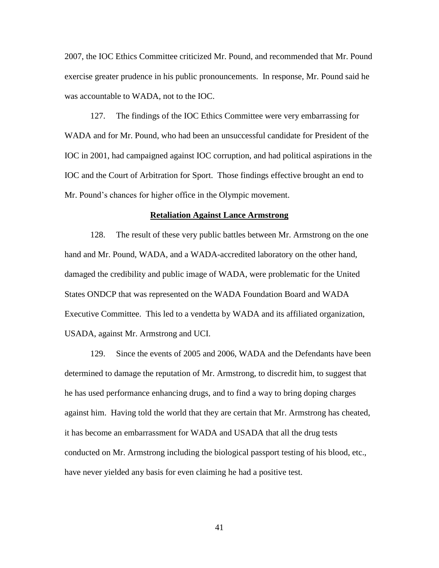2007, the IOC Ethics Committee criticized Mr. Pound, and recommended that Mr. Pound exercise greater prudence in his public pronouncements. In response, Mr. Pound said he was accountable to WADA, not to the IOC.

127. The findings of the IOC Ethics Committee were very embarrassing for WADA and for Mr. Pound, who had been an unsuccessful candidate for President of the IOC in 2001, had campaigned against IOC corruption, and had political aspirations in the IOC and the Court of Arbitration for Sport. Those findings effective brought an end to Mr. Pound's chances for higher office in the Olympic movement.

### **Retaliation Against Lance Armstrong**

128. The result of these very public battles between Mr. Armstrong on the one hand and Mr. Pound, WADA, and a WADA-accredited laboratory on the other hand, damaged the credibility and public image of WADA, were problematic for the United States ONDCP that was represented on the WADA Foundation Board and WADA Executive Committee. This led to a vendetta by WADA and its affiliated organization, USADA, against Mr. Armstrong and UCI.

129. Since the events of 2005 and 2006, WADA and the Defendants have been determined to damage the reputation of Mr. Armstrong, to discredit him, to suggest that he has used performance enhancing drugs, and to find a way to bring doping charges against him. Having told the world that they are certain that Mr. Armstrong has cheated, it has become an embarrassment for WADA and USADA that all the drug tests conducted on Mr. Armstrong including the biological passport testing of his blood, etc., have never yielded any basis for even claiming he had a positive test.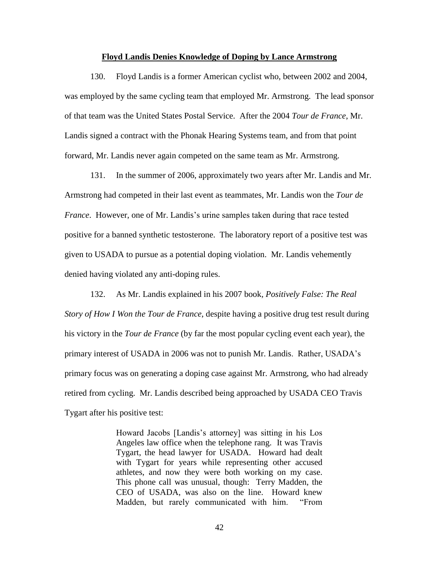### **Floyd Landis Denies Knowledge of Doping by Lance Armstrong**

130. Floyd Landis is a former American cyclist who, between 2002 and 2004, was employed by the same cycling team that employed Mr. Armstrong. The lead sponsor of that team was the United States Postal Service. After the 2004 *Tour de France*, Mr. Landis signed a contract with the Phonak Hearing Systems team, and from that point forward, Mr. Landis never again competed on the same team as Mr. Armstrong.

131. In the summer of 2006, approximately two years after Mr. Landis and Mr. Armstrong had competed in their last event as teammates, Mr. Landis won the *Tour de France*. However, one of Mr. Landis's urine samples taken during that race tested positive for a banned synthetic testosterone. The laboratory report of a positive test was given to USADA to pursue as a potential doping violation. Mr. Landis vehemently denied having violated any anti-doping rules.

132. As Mr. Landis explained in his 2007 book*, Positively False: The Real Story of How I Won the Tour de France*, despite having a positive drug test result during his victory in the *Tour de France* (by far the most popular cycling event each year), the primary interest of USADA in 2006 was not to punish Mr. Landis. Rather, USADA's primary focus was on generating a doping case against Mr. Armstrong, who had already retired from cycling. Mr. Landis described being approached by USADA CEO Travis Tygart after his positive test:

> Howard Jacobs [Landis's attorney] was sitting in his Los Angeles law office when the telephone rang. It was Travis Tygart, the head lawyer for USADA. Howard had dealt with Tygart for years while representing other accused athletes, and now they were both working on my case. This phone call was unusual, though: Terry Madden, the CEO of USADA, was also on the line. Howard knew Madden, but rarely communicated with him. "From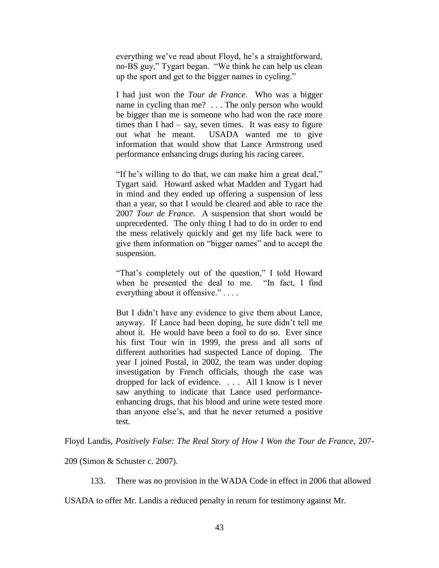everything we've read about Floyd, he's a straightforward, no-BS guy," Tygart began. "We think he can help us clean up the sport and get to the bigger names in cycling."

I had just won the *Tour de France*. Who was a bigger name in cycling than me? . . . The only person who would be bigger than me is someone who had won the race more times than I had  $-$  say, seven times. It was easy to figure out what he meant. USADA wanted me to give information that would show that Lance Armstrong used performance enhancing drugs during his racing career.

"If he's willing to do that, we can make him a great deal," Tygart said. Howard asked what Madden and Tygart had in mind and they ended up offering a suspension of less than a year, so that I would be cleared and able to race the 2007 *Tour de France*. A suspension that short would be unprecedented. The only thing I had to do in order to end the mess relatively quickly and get my life back were to give them information on "bigger names" and to accept the suspension.

"That's completely out of the question," I told Howard when he presented the deal to me. "In fact, I find everything about it offensive." $\dots$ 

But I didn't have any evidence to give them about Lance, anyway. If Lance had been doping, he sure didn't tell me about it. He would have been a fool to do so. Ever since his first Tour win in 1999, the press and all sorts of different authorities had suspected Lance of doping. The year I joined Postal, in 2002, the team was under doping investigation by French officials, though the case was dropped for lack of evidence. . . . All I know is I never saw anything to indicate that Lance used performanceenhancing drugs, that his blood and urine were tested more than anyone else's, and that he never returned a positive test.

Floyd Landis, *Positively False: The Real Story of How I Won the Tour de France*, 207-

209 (Simon & Schuster c. 2007).

133. There was no provision in the WADA Code in effect in 2006 that allowed

USADA to offer Mr. Landis a reduced penalty in return for testimony against Mr.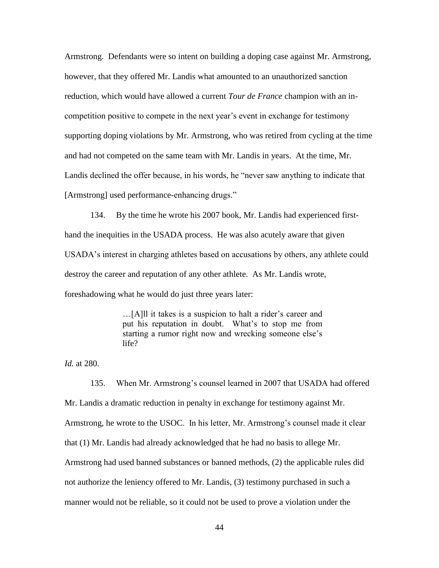Armstrong. Defendants were so intent on building a doping case against Mr. Armstrong, however, that they offered Mr. Landis what amounted to an unauthorized sanction reduction, which would have allowed a current *Tour de France* champion with an incompetition positive to compete in the next year's event in exchange for testimony supporting doping violations by Mr. Armstrong, who was retired from cycling at the time and had not competed on the same team with Mr. Landis in years. At the time, Mr. Landis declined the offer because, in his words, he "never saw anything to indicate that [Armstrong] used performance-enhancing drugs."

134. By the time he wrote his 2007 book, Mr. Landis had experienced firsthand the inequities in the USADA process. He was also acutely aware that given USADA's interest in charging athletes based on accusations by others, any athlete could destroy the career and reputation of any other athlete. As Mr. Landis wrote, foreshadowing what he would do just three years later:

> …[A]ll it takes is a suspicion to halt a rider's career and put his reputation in doubt. What's to stop me from starting a rumor right now and wrecking someone else's life?

*Id.* at 280.

135. When Mr. Armstrong's counsel learned in 2007 that USADA had offered Mr. Landis a dramatic reduction in penalty in exchange for testimony against Mr. Armstrong, he wrote to the USOC. In his letter, Mr. Armstrong's counsel made it clear that (1) Mr. Landis had already acknowledged that he had no basis to allege Mr. Armstrong had used banned substances or banned methods, (2) the applicable rules did not authorize the leniency offered to Mr. Landis, (3) testimony purchased in such a manner would not be reliable, so it could not be used to prove a violation under the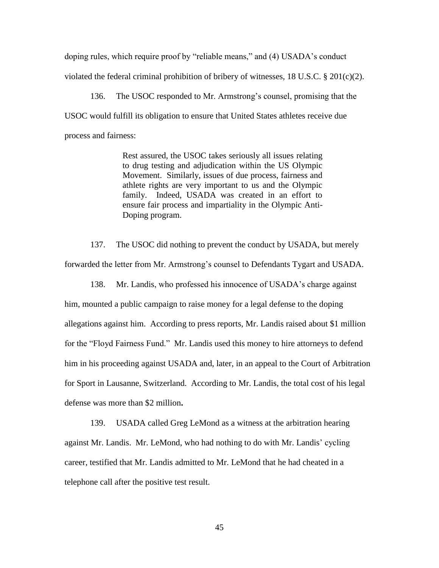doping rules, which require proof by "reliable means," and (4) USADA's conduct violated the federal criminal prohibition of bribery of witnesses,  $18 \text{ U.S.C.}$  §  $201 \text{ (c)} \text{ (2)}$ .

136. The USOC responded to Mr. Armstrong's counsel, promising that the USOC would fulfill its obligation to ensure that United States athletes receive due process and fairness:

> Rest assured, the USOC takes seriously all issues relating to drug testing and adjudication within the US Olympic Movement. Similarly, issues of due process, fairness and athlete rights are very important to us and the Olympic family. Indeed, USADA was created in an effort to ensure fair process and impartiality in the Olympic Anti-Doping program.

137. The USOC did nothing to prevent the conduct by USADA, but merely forwarded the letter from Mr. Armstrong's counsel to Defendants Tygart and USADA.

138. Mr. Landis, who professed his innocence of USADA's charge against him, mounted a public campaign to raise money for a legal defense to the doping allegations against him. According to press reports, Mr. Landis raised about \$1 million for the "Floyd Fairness Fund." Mr. Landis used this money to hire attorneys to defend him in his proceeding against USADA and, later, in an appeal to the Court of Arbitration for Sport in Lausanne, Switzerland. According to Mr. Landis, the total cost of his legal defense was more than \$2 million**.**

139. USADA called Greg LeMond as a witness at the arbitration hearing against Mr. Landis. Mr. LeMond, who had nothing to do with Mr. Landis' cycling career, testified that Mr. Landis admitted to Mr. LeMond that he had cheated in a telephone call after the positive test result.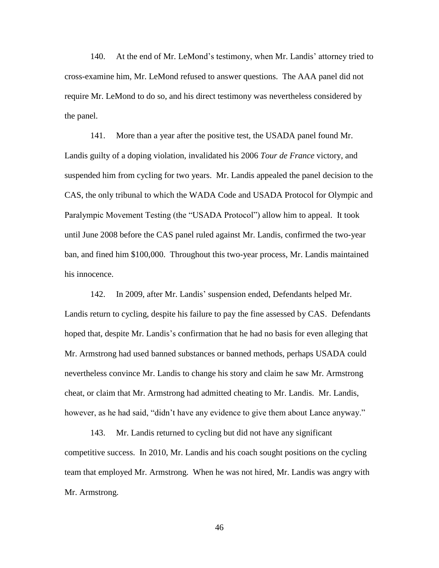140. At the end of Mr. LeMond's testimony, when Mr. Landis' attorney tried to cross-examine him, Mr. LeMond refused to answer questions. The AAA panel did not require Mr. LeMond to do so, and his direct testimony was nevertheless considered by the panel.

141. More than a year after the positive test, the USADA panel found Mr. Landis guilty of a doping violation, invalidated his 2006 *Tour de France* victory, and suspended him from cycling for two years. Mr. Landis appealed the panel decision to the CAS, the only tribunal to which the WADA Code and USADA Protocol for Olympic and Paralympic Movement Testing (the "USADA Protocol") allow him to appeal. It took until June 2008 before the CAS panel ruled against Mr. Landis, confirmed the two-year ban, and fined him \$100,000. Throughout this two-year process, Mr. Landis maintained his innocence.

142. In 2009, after Mr. Landis' suspension ended, Defendants helped Mr. Landis return to cycling, despite his failure to pay the fine assessed by CAS. Defendants hoped that, despite Mr. Landis's confirmation that he had no basis for even alleging that Mr. Armstrong had used banned substances or banned methods, perhaps USADA could nevertheless convince Mr. Landis to change his story and claim he saw Mr. Armstrong cheat, or claim that Mr. Armstrong had admitted cheating to Mr. Landis. Mr. Landis, however, as he had said, "didn't have any evidence to give them about Lance anyway."

143. Mr. Landis returned to cycling but did not have any significant competitive success. In 2010, Mr. Landis and his coach sought positions on the cycling team that employed Mr. Armstrong. When he was not hired, Mr. Landis was angry with Mr. Armstrong.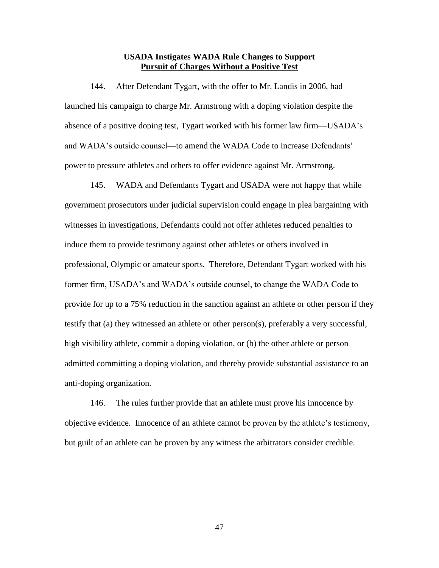## **USADA Instigates WADA Rule Changes to Support Pursuit of Charges Without a Positive Test**

144. After Defendant Tygart, with the offer to Mr. Landis in 2006, had launched his campaign to charge Mr. Armstrong with a doping violation despite the absence of a positive doping test, Tygart worked with his former law firm—USADA's and WADA's outside counsel—to amend the WADA Code to increase Defendants' power to pressure athletes and others to offer evidence against Mr. Armstrong.

145. WADA and Defendants Tygart and USADA were not happy that while government prosecutors under judicial supervision could engage in plea bargaining with witnesses in investigations, Defendants could not offer athletes reduced penalties to induce them to provide testimony against other athletes or others involved in professional, Olympic or amateur sports. Therefore, Defendant Tygart worked with his former firm, USADA's and WADA's outside counsel, to change the WADA Code to provide for up to a 75% reduction in the sanction against an athlete or other person if they testify that (a) they witnessed an athlete or other person(s), preferably a very successful, high visibility athlete, commit a doping violation, or (b) the other athlete or person admitted committing a doping violation, and thereby provide substantial assistance to an anti-doping organization.

146. The rules further provide that an athlete must prove his innocence by objective evidence. Innocence of an athlete cannot be proven by the athlete's testimony, but guilt of an athlete can be proven by any witness the arbitrators consider credible.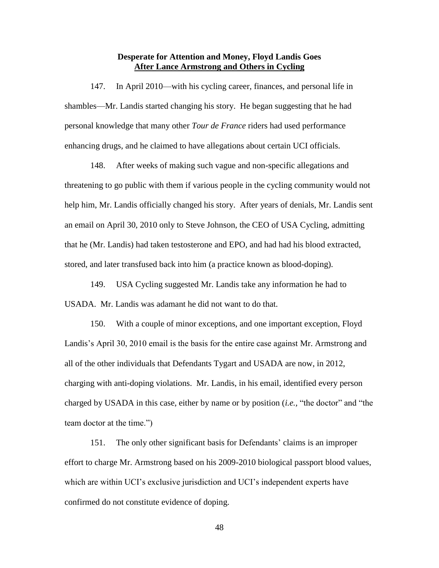## **Desperate for Attention and Money, Floyd Landis Goes After Lance Armstrong and Others in Cycling**

147. In April 2010—with his cycling career, finances, and personal life in shambles—Mr. Landis started changing his story. He began suggesting that he had personal knowledge that many other *Tour de France* riders had used performance enhancing drugs, and he claimed to have allegations about certain UCI officials.

148. After weeks of making such vague and non-specific allegations and threatening to go public with them if various people in the cycling community would not help him, Mr. Landis officially changed his story. After years of denials, Mr. Landis sent an email on April 30, 2010 only to Steve Johnson, the CEO of USA Cycling, admitting that he (Mr. Landis) had taken testosterone and EPO, and had had his blood extracted, stored, and later transfused back into him (a practice known as blood-doping).

149. USA Cycling suggested Mr. Landis take any information he had to USADA. Mr. Landis was adamant he did not want to do that.

150. With a couple of minor exceptions, and one important exception, Floyd Landis's April 30, 2010 email is the basis for the entire case against Mr. Armstrong and all of the other individuals that Defendants Tygart and USADA are now, in 2012, charging with anti-doping violations. Mr. Landis, in his email, identified every person charged by USADA in this case, either by name or by position *(i.e.,* "the doctor" and "the team doctor at the time.")

151. The only other significant basis for Defendants' claims is an improper effort to charge Mr. Armstrong based on his 2009-2010 biological passport blood values, which are within UCI's exclusive jurisdiction and UCI's independent experts have confirmed do not constitute evidence of doping.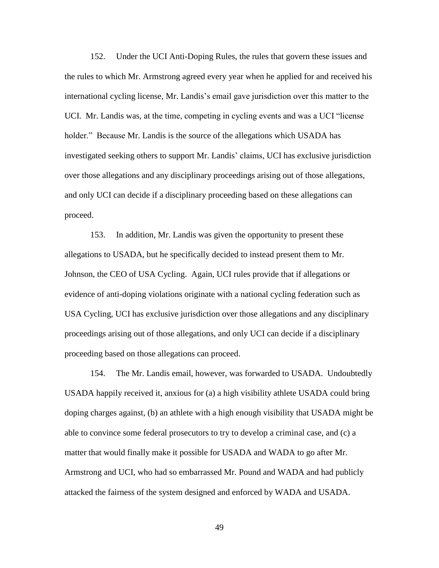152. Under the UCI Anti-Doping Rules, the rules that govern these issues and the rules to which Mr. Armstrong agreed every year when he applied for and received his international cycling license, Mr. Landis's email gave jurisdiction over this matter to the UCI. Mr. Landis was, at the time, competing in cycling events and was a UCI "license" holder." Because Mr. Landis is the source of the allegations which USADA has investigated seeking others to support Mr. Landis' claims, UCI has exclusive jurisdiction over those allegations and any disciplinary proceedings arising out of those allegations, and only UCI can decide if a disciplinary proceeding based on these allegations can proceed.

153. In addition, Mr. Landis was given the opportunity to present these allegations to USADA, but he specifically decided to instead present them to Mr. Johnson, the CEO of USA Cycling. Again, UCI rules provide that if allegations or evidence of anti-doping violations originate with a national cycling federation such as USA Cycling, UCI has exclusive jurisdiction over those allegations and any disciplinary proceedings arising out of those allegations, and only UCI can decide if a disciplinary proceeding based on those allegations can proceed.

154. The Mr. Landis email, however, was forwarded to USADA. Undoubtedly USADA happily received it, anxious for (a) a high visibility athlete USADA could bring doping charges against, (b) an athlete with a high enough visibility that USADA might be able to convince some federal prosecutors to try to develop a criminal case, and (c) a matter that would finally make it possible for USADA and WADA to go after Mr. Armstrong and UCI, who had so embarrassed Mr. Pound and WADA and had publicly attacked the fairness of the system designed and enforced by WADA and USADA.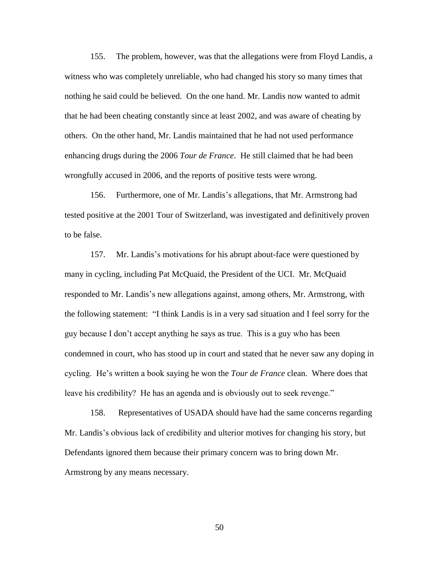155. The problem, however, was that the allegations were from Floyd Landis, a witness who was completely unreliable, who had changed his story so many times that nothing he said could be believed. On the one hand. Mr. Landis now wanted to admit that he had been cheating constantly since at least 2002, and was aware of cheating by others. On the other hand, Mr. Landis maintained that he had not used performance enhancing drugs during the 2006 *Tour de France*. He still claimed that he had been wrongfully accused in 2006, and the reports of positive tests were wrong.

156. Furthermore, one of Mr. Landis's allegations, that Mr. Armstrong had tested positive at the 2001 Tour of Switzerland, was investigated and definitively proven to be false.

157. Mr. Landis's motivations for his abrupt about-face were questioned by many in cycling, including Pat McQuaid, the President of the UCI. Mr. McQuaid responded to Mr. Landis's new allegations against, among others, Mr. Armstrong, with the following statement: "I think Landis is in a very sad situation and I feel sorry for the guy because I don't accept anything he says as true. This is a guy who has been condemned in court, who has stood up in court and stated that he never saw any doping in cycling. He's written a book saying he won the *Tour de France* clean. Where does that leave his credibility? He has an agenda and is obviously out to seek revenge."

158. Representatives of USADA should have had the same concerns regarding Mr. Landis's obvious lack of credibility and ulterior motives for changing his story, but Defendants ignored them because their primary concern was to bring down Mr. Armstrong by any means necessary.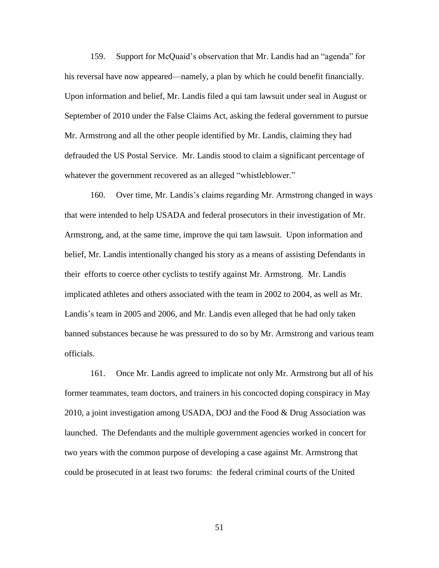159. Support for McQuaid's observation that Mr. Landis had an "agenda" for his reversal have now appeared—namely, a plan by which he could benefit financially. Upon information and belief, Mr. Landis filed a qui tam lawsuit under seal in August or September of 2010 under the False Claims Act, asking the federal government to pursue Mr. Armstrong and all the other people identified by Mr. Landis, claiming they had defrauded the US Postal Service. Mr. Landis stood to claim a significant percentage of whatever the government recovered as an alleged "whistleblower."

160. Over time, Mr. Landis's claims regarding Mr. Armstrong changed in ways that were intended to help USADA and federal prosecutors in their investigation of Mr. Armstrong, and, at the same time, improve the qui tam lawsuit. Upon information and belief, Mr. Landis intentionally changed his story as a means of assisting Defendants in their efforts to coerce other cyclists to testify against Mr. Armstrong. Mr. Landis implicated athletes and others associated with the team in 2002 to 2004, as well as Mr. Landis's team in 2005 and 2006, and Mr. Landis even alleged that he had only taken banned substances because he was pressured to do so by Mr. Armstrong and various team officials.

161. Once Mr. Landis agreed to implicate not only Mr. Armstrong but all of his former teammates, team doctors, and trainers in his concocted doping conspiracy in May 2010, a joint investigation among USADA, DOJ and the Food & Drug Association was launched. The Defendants and the multiple government agencies worked in concert for two years with the common purpose of developing a case against Mr. Armstrong that could be prosecuted in at least two forums: the federal criminal courts of the United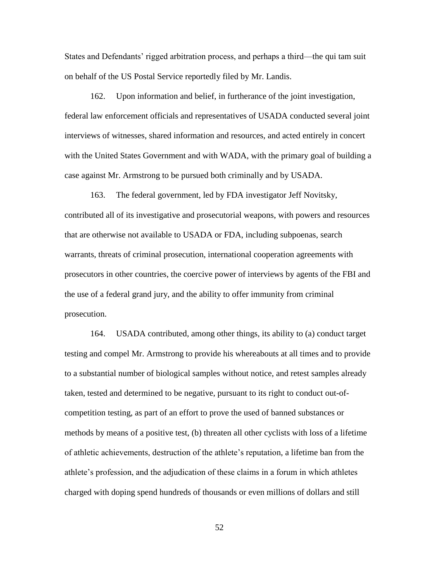States and Defendants' rigged arbitration process, and perhaps a third—the qui tam suit on behalf of the US Postal Service reportedly filed by Mr. Landis.

162. Upon information and belief, in furtherance of the joint investigation, federal law enforcement officials and representatives of USADA conducted several joint interviews of witnesses, shared information and resources, and acted entirely in concert with the United States Government and with WADA, with the primary goal of building a case against Mr. Armstrong to be pursued both criminally and by USADA.

163. The federal government, led by FDA investigator Jeff Novitsky, contributed all of its investigative and prosecutorial weapons, with powers and resources that are otherwise not available to USADA or FDA, including subpoenas, search warrants, threats of criminal prosecution, international cooperation agreements with prosecutors in other countries, the coercive power of interviews by agents of the FBI and the use of a federal grand jury, and the ability to offer immunity from criminal prosecution.

164. USADA contributed, among other things, its ability to (a) conduct target testing and compel Mr. Armstrong to provide his whereabouts at all times and to provide to a substantial number of biological samples without notice, and retest samples already taken, tested and determined to be negative, pursuant to its right to conduct out-ofcompetition testing, as part of an effort to prove the used of banned substances or methods by means of a positive test, (b) threaten all other cyclists with loss of a lifetime of athletic achievements, destruction of the athlete's reputation, a lifetime ban from the athlete's profession, and the adjudication of these claims in a forum in which athletes charged with doping spend hundreds of thousands or even millions of dollars and still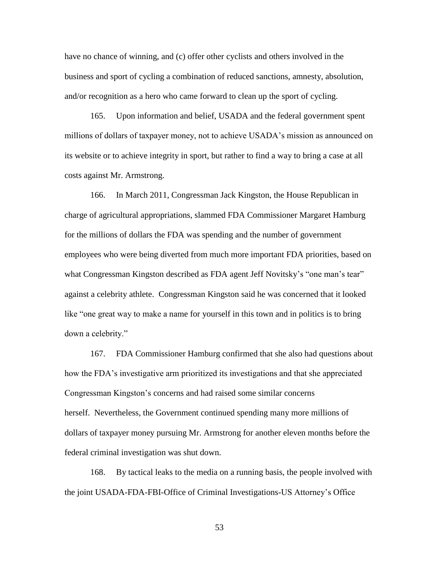have no chance of winning, and (c) offer other cyclists and others involved in the business and sport of cycling a combination of reduced sanctions, amnesty, absolution, and/or recognition as a hero who came forward to clean up the sport of cycling.

165. Upon information and belief, USADA and the federal government spent millions of dollars of taxpayer money, not to achieve USADA's mission as announced on its website or to achieve integrity in sport, but rather to find a way to bring a case at all costs against Mr. Armstrong.

166. In March 2011, Congressman Jack Kingston, the House Republican in charge of agricultural appropriations, slammed FDA Commissioner Margaret Hamburg for the millions of dollars the FDA was spending and the number of government employees who were being diverted from much more important FDA priorities, based on what Congressman Kingston described as FDA agent Jeff Novitsky's "one man's tear" against a celebrity athlete. Congressman Kingston said he was concerned that it looked like "one great way to make a name for yourself in this town and in politics is to bring down a celebrity."

167. FDA Commissioner Hamburg confirmed that she also had questions about how the FDA's investigative arm prioritized its investigations and that she appreciated Congressman Kingston's concerns and had raised some similar concerns herself. Nevertheless, the Government continued spending many more millions of dollars of taxpayer money pursuing Mr. Armstrong for another eleven months before the federal criminal investigation was shut down.

168. By tactical leaks to the media on a running basis, the people involved with the joint USADA-FDA-FBI-Office of Criminal Investigations-US Attorney's Office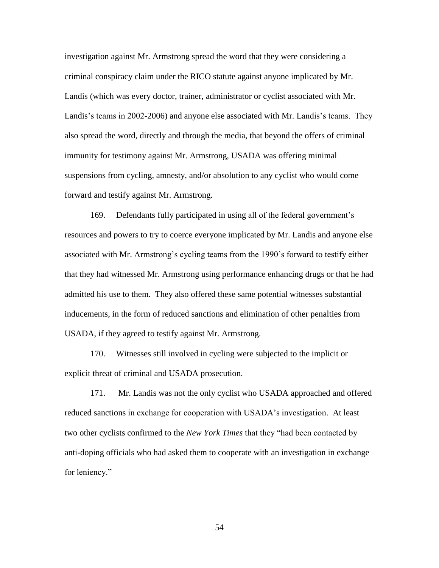investigation against Mr. Armstrong spread the word that they were considering a criminal conspiracy claim under the RICO statute against anyone implicated by Mr. Landis (which was every doctor, trainer, administrator or cyclist associated with Mr. Landis's teams in 2002-2006) and anyone else associated with Mr. Landis's teams. They also spread the word, directly and through the media, that beyond the offers of criminal immunity for testimony against Mr. Armstrong, USADA was offering minimal suspensions from cycling, amnesty, and/or absolution to any cyclist who would come forward and testify against Mr. Armstrong.

169. Defendants fully participated in using all of the federal government's resources and powers to try to coerce everyone implicated by Mr. Landis and anyone else associated with Mr. Armstrong's cycling teams from the 1990's forward to testify either that they had witnessed Mr. Armstrong using performance enhancing drugs or that he had admitted his use to them. They also offered these same potential witnesses substantial inducements, in the form of reduced sanctions and elimination of other penalties from USADA, if they agreed to testify against Mr. Armstrong.

170. Witnesses still involved in cycling were subjected to the implicit or explicit threat of criminal and USADA prosecution.

171. Mr. Landis was not the only cyclist who USADA approached and offered reduced sanctions in exchange for cooperation with USADA's investigation. At least two other cyclists confirmed to the *New York Times* that they "had been contacted by anti-doping officials who had asked them to cooperate with an investigation in exchange for leniency."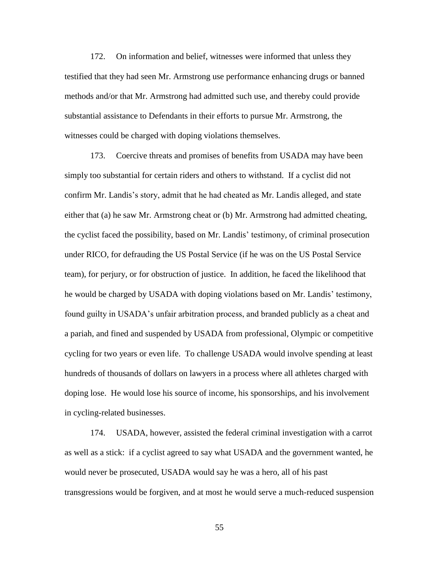172. On information and belief, witnesses were informed that unless they testified that they had seen Mr. Armstrong use performance enhancing drugs or banned methods and/or that Mr. Armstrong had admitted such use, and thereby could provide substantial assistance to Defendants in their efforts to pursue Mr. Armstrong, the witnesses could be charged with doping violations themselves.

173. Coercive threats and promises of benefits from USADA may have been simply too substantial for certain riders and others to withstand. If a cyclist did not confirm Mr. Landis's story, admit that he had cheated as Mr. Landis alleged, and state either that (a) he saw Mr. Armstrong cheat or (b) Mr. Armstrong had admitted cheating, the cyclist faced the possibility, based on Mr. Landis' testimony, of criminal prosecution under RICO, for defrauding the US Postal Service (if he was on the US Postal Service team), for perjury, or for obstruction of justice. In addition, he faced the likelihood that he would be charged by USADA with doping violations based on Mr. Landis' testimony, found guilty in USADA's unfair arbitration process, and branded publicly as a cheat and a pariah, and fined and suspended by USADA from professional, Olympic or competitive cycling for two years or even life. To challenge USADA would involve spending at least hundreds of thousands of dollars on lawyers in a process where all athletes charged with doping lose. He would lose his source of income, his sponsorships, and his involvement in cycling-related businesses.

174. USADA, however, assisted the federal criminal investigation with a carrot as well as a stick: if a cyclist agreed to say what USADA and the government wanted, he would never be prosecuted, USADA would say he was a hero, all of his past transgressions would be forgiven, and at most he would serve a much-reduced suspension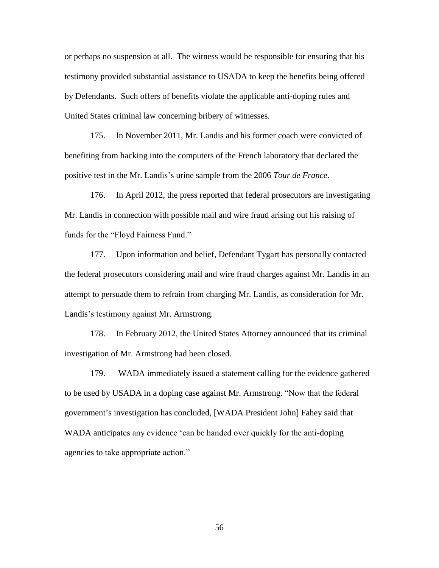or perhaps no suspension at all. The witness would be responsible for ensuring that his testimony provided substantial assistance to USADA to keep the benefits being offered by Defendants. Such offers of benefits violate the applicable anti-doping rules and United States criminal law concerning bribery of witnesses.

175. In November 2011, Mr. Landis and his former coach were convicted of benefiting from hacking into the computers of the French laboratory that declared the positive test in the Mr. Landis's urine sample from the 2006 *Tour de France*.

176. In April 2012, the press reported that federal prosecutors are investigating Mr. Landis in connection with possible mail and wire fraud arising out his raising of funds for the "Floyd Fairness Fund."

177. Upon information and belief, Defendant Tygart has personally contacted the federal prosecutors considering mail and wire fraud charges against Mr. Landis in an attempt to persuade them to refrain from charging Mr. Landis, as consideration for Mr. Landis's testimony against Mr. Armstrong.

178. In February 2012, the United States Attorney announced that its criminal investigation of Mr. Armstrong had been closed.

179. WADA immediately issued a statement calling for the evidence gathered to be used by USADA in a doping case against Mr. Armstrong. "Now that the federal government's investigation has concluded, [WADA President John] Fahey said that WADA anticipates any evidence 'can be handed over quickly for the anti-doping agencies to take appropriate action."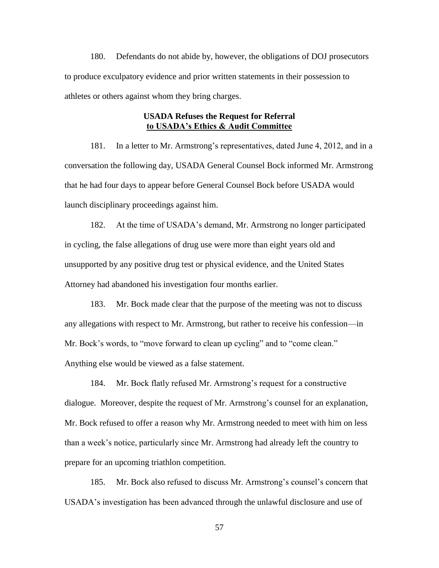180. Defendants do not abide by, however, the obligations of DOJ prosecutors to produce exculpatory evidence and prior written statements in their possession to athletes or others against whom they bring charges.

# **USADA Refuses the Request for Referral to USADA's Ethics & Audit Committee**

181. In a letter to Mr. Armstrong's representatives, dated June 4, 2012, and in a conversation the following day, USADA General Counsel Bock informed Mr. Armstrong that he had four days to appear before General Counsel Bock before USADA would launch disciplinary proceedings against him.

182. At the time of USADA's demand, Mr. Armstrong no longer participated in cycling, the false allegations of drug use were more than eight years old and unsupported by any positive drug test or physical evidence, and the United States Attorney had abandoned his investigation four months earlier.

183. Mr. Bock made clear that the purpose of the meeting was not to discuss any allegations with respect to Mr. Armstrong, but rather to receive his confession—in Mr. Bock's words, to "move forward to clean up cycling" and to "come clean." Anything else would be viewed as a false statement.

184. Mr. Bock flatly refused Mr. Armstrong's request for a constructive dialogue. Moreover, despite the request of Mr. Armstrong's counsel for an explanation, Mr. Bock refused to offer a reason why Mr. Armstrong needed to meet with him on less than a week's notice, particularly since Mr. Armstrong had already left the country to prepare for an upcoming triathlon competition.

185. Mr. Bock also refused to discuss Mr. Armstrong's counsel's concern that USADA's investigation has been advanced through the unlawful disclosure and use of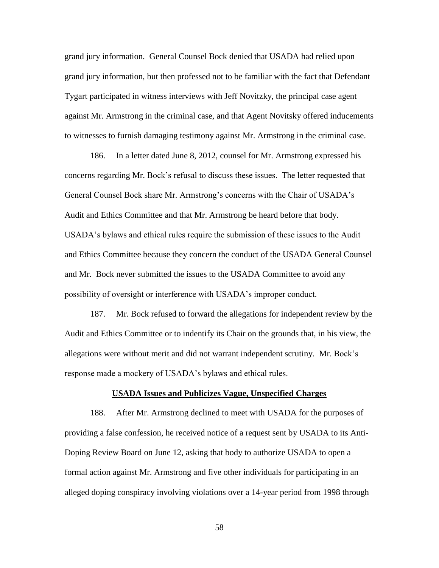grand jury information. General Counsel Bock denied that USADA had relied upon grand jury information, but then professed not to be familiar with the fact that Defendant Tygart participated in witness interviews with Jeff Novitzky, the principal case agent against Mr. Armstrong in the criminal case, and that Agent Novitsky offered inducements to witnesses to furnish damaging testimony against Mr. Armstrong in the criminal case.

186. In a letter dated June 8, 2012, counsel for Mr. Armstrong expressed his concerns regarding Mr. Bock's refusal to discuss these issues. The letter requested that General Counsel Bock share Mr. Armstrong's concerns with the Chair of USADA's Audit and Ethics Committee and that Mr. Armstrong be heard before that body. USADA's bylaws and ethical rules require the submission of these issues to the Audit and Ethics Committee because they concern the conduct of the USADA General Counsel and Mr. Bock never submitted the issues to the USADA Committee to avoid any possibility of oversight or interference with USADA's improper conduct.

187. Mr. Bock refused to forward the allegations for independent review by the Audit and Ethics Committee or to indentify its Chair on the grounds that, in his view, the allegations were without merit and did not warrant independent scrutiny. Mr. Bock's response made a mockery of USADA's bylaws and ethical rules.

### **USADA Issues and Publicizes Vague, Unspecified Charges**

188. After Mr. Armstrong declined to meet with USADA for the purposes of providing a false confession, he received notice of a request sent by USADA to its Anti-Doping Review Board on June 12, asking that body to authorize USADA to open a formal action against Mr. Armstrong and five other individuals for participating in an alleged doping conspiracy involving violations over a 14-year period from 1998 through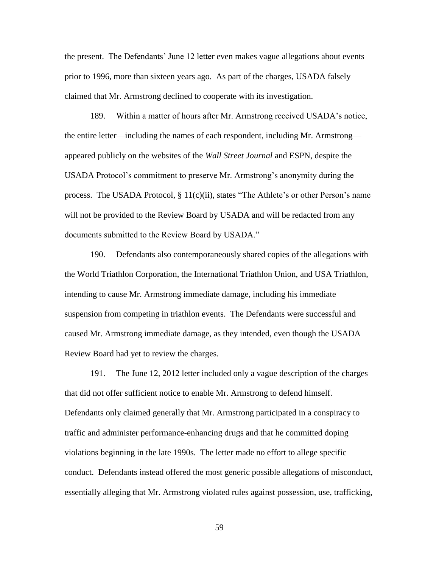the present. The Defendants' June 12 letter even makes vague allegations about events prior to 1996, more than sixteen years ago. As part of the charges, USADA falsely claimed that Mr. Armstrong declined to cooperate with its investigation.

189. Within a matter of hours after Mr. Armstrong received USADA's notice, the entire letter—including the names of each respondent, including Mr. Armstrong appeared publicly on the websites of the *Wall Street Journal* and ESPN, despite the USADA Protocol's commitment to preserve Mr. Armstrong's anonymity during the process. The USADA Protocol,  $\S 11(c)(ii)$ , states "The Athlete's or other Person's name will not be provided to the Review Board by USADA and will be redacted from any documents submitted to the Review Board by USADA."

190. Defendants also contemporaneously shared copies of the allegations with the World Triathlon Corporation, the International Triathlon Union, and USA Triathlon, intending to cause Mr. Armstrong immediate damage, including his immediate suspension from competing in triathlon events. The Defendants were successful and caused Mr. Armstrong immediate damage, as they intended, even though the USADA Review Board had yet to review the charges.

191. The June 12, 2012 letter included only a vague description of the charges that did not offer sufficient notice to enable Mr. Armstrong to defend himself. Defendants only claimed generally that Mr. Armstrong participated in a conspiracy to traffic and administer performance-enhancing drugs and that he committed doping violations beginning in the late 1990s. The letter made no effort to allege specific conduct. Defendants instead offered the most generic possible allegations of misconduct, essentially alleging that Mr. Armstrong violated rules against possession, use, trafficking,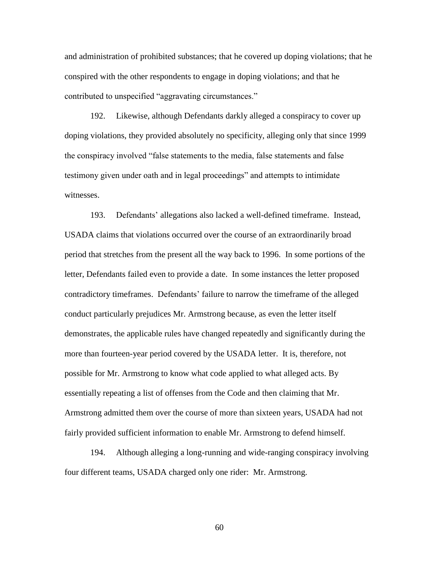and administration of prohibited substances; that he covered up doping violations; that he conspired with the other respondents to engage in doping violations; and that he contributed to unspecified "aggravating circumstances."

192. Likewise, although Defendants darkly alleged a conspiracy to cover up doping violations, they provided absolutely no specificity, alleging only that since 1999 the conspiracy involved "false statements to the media, false statements and false testimony given under oath and in legal proceedings" and attempts to intimidate witnesses.

193. Defendants' allegations also lacked a well-defined timeframe. Instead, USADA claims that violations occurred over the course of an extraordinarily broad period that stretches from the present all the way back to 1996. In some portions of the letter, Defendants failed even to provide a date. In some instances the letter proposed contradictory timeframes. Defendants' failure to narrow the timeframe of the alleged conduct particularly prejudices Mr. Armstrong because, as even the letter itself demonstrates, the applicable rules have changed repeatedly and significantly during the more than fourteen-year period covered by the USADA letter. It is, therefore, not possible for Mr. Armstrong to know what code applied to what alleged acts. By essentially repeating a list of offenses from the Code and then claiming that Mr. Armstrong admitted them over the course of more than sixteen years, USADA had not fairly provided sufficient information to enable Mr. Armstrong to defend himself.

194. Although alleging a long-running and wide-ranging conspiracy involving four different teams, USADA charged only one rider: Mr. Armstrong.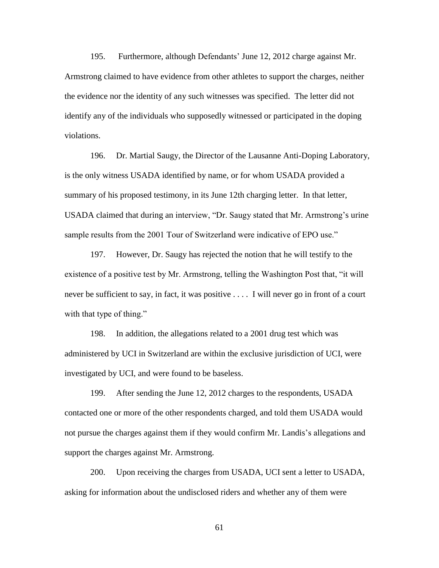195. Furthermore, although Defendants' June 12, 2012 charge against Mr. Armstrong claimed to have evidence from other athletes to support the charges, neither the evidence nor the identity of any such witnesses was specified. The letter did not identify any of the individuals who supposedly witnessed or participated in the doping violations.

196. Dr. Martial Saugy, the Director of the Lausanne Anti-Doping Laboratory, is the only witness USADA identified by name, or for whom USADA provided a summary of his proposed testimony, in its June 12th charging letter. In that letter, USADA claimed that during an interview, "Dr. Saugy stated that Mr. Armstrong's urine sample results from the 2001 Tour of Switzerland were indicative of EPO use."

197. However, Dr. Saugy has rejected the notion that he will testify to the existence of a positive test by Mr. Armstrong, telling the Washington Post that, "it will never be sufficient to say, in fact, it was positive . . . . I will never go in front of a court with that type of thing."

198. In addition, the allegations related to a 2001 drug test which was administered by UCI in Switzerland are within the exclusive jurisdiction of UCI, were investigated by UCI, and were found to be baseless.

199. After sending the June 12, 2012 charges to the respondents, USADA contacted one or more of the other respondents charged, and told them USADA would not pursue the charges against them if they would confirm Mr. Landis's allegations and support the charges against Mr. Armstrong.

200. Upon receiving the charges from USADA, UCI sent a letter to USADA, asking for information about the undisclosed riders and whether any of them were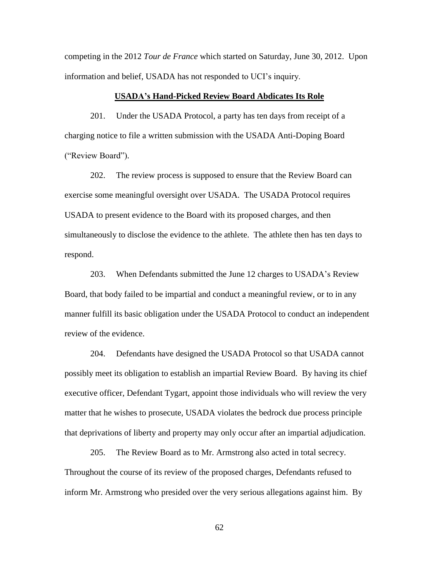competing in the 2012 *Tour de France* which started on Saturday, June 30, 2012. Upon information and belief, USADA has not responded to UCI's inquiry.

### **USADA's Hand-Picked Review Board Abdicates Its Role**

201. Under the USADA Protocol, a party has ten days from receipt of a charging notice to file a written submission with the USADA Anti-Doping Board ("Review Board").

202. The review process is supposed to ensure that the Review Board can exercise some meaningful oversight over USADA. The USADA Protocol requires USADA to present evidence to the Board with its proposed charges, and then simultaneously to disclose the evidence to the athlete. The athlete then has ten days to respond.

203. When Defendants submitted the June 12 charges to USADA's Review Board, that body failed to be impartial and conduct a meaningful review, or to in any manner fulfill its basic obligation under the USADA Protocol to conduct an independent review of the evidence.

204. Defendants have designed the USADA Protocol so that USADA cannot possibly meet its obligation to establish an impartial Review Board. By having its chief executive officer, Defendant Tygart, appoint those individuals who will review the very matter that he wishes to prosecute, USADA violates the bedrock due process principle that deprivations of liberty and property may only occur after an impartial adjudication.

205. The Review Board as to Mr. Armstrong also acted in total secrecy. Throughout the course of its review of the proposed charges, Defendants refused to inform Mr. Armstrong who presided over the very serious allegations against him. By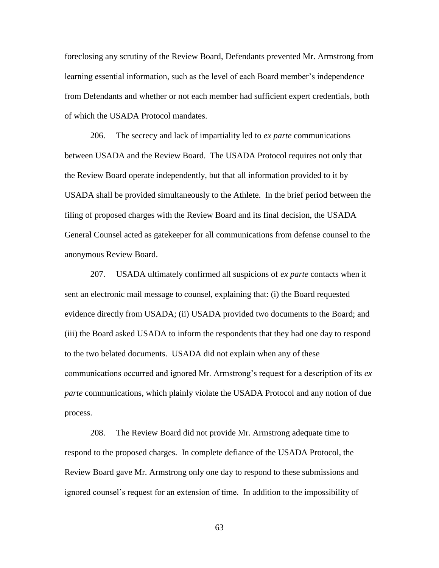foreclosing any scrutiny of the Review Board, Defendants prevented Mr. Armstrong from learning essential information, such as the level of each Board member's independence from Defendants and whether or not each member had sufficient expert credentials, both of which the USADA Protocol mandates.

206. The secrecy and lack of impartiality led to *ex parte* communications between USADA and the Review Board. The USADA Protocol requires not only that the Review Board operate independently, but that all information provided to it by USADA shall be provided simultaneously to the Athlete. In the brief period between the filing of proposed charges with the Review Board and its final decision, the USADA General Counsel acted as gatekeeper for all communications from defense counsel to the anonymous Review Board.

207. USADA ultimately confirmed all suspicions of *ex parte* contacts when it sent an electronic mail message to counsel, explaining that: (i) the Board requested evidence directly from USADA; (ii) USADA provided two documents to the Board; and (iii) the Board asked USADA to inform the respondents that they had one day to respond to the two belated documents. USADA did not explain when any of these communications occurred and ignored Mr. Armstrong's request for a description of its *ex parte* communications, which plainly violate the USADA Protocol and any notion of due process.

208. The Review Board did not provide Mr. Armstrong adequate time to respond to the proposed charges. In complete defiance of the USADA Protocol, the Review Board gave Mr. Armstrong only one day to respond to these submissions and ignored counsel's request for an extension of time. In addition to the impossibility of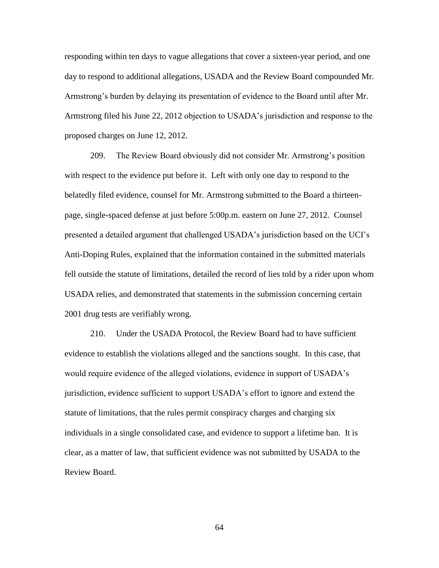responding within ten days to vague allegations that cover a sixteen-year period, and one day to respond to additional allegations, USADA and the Review Board compounded Mr. Armstrong's burden by delaying its presentation of evidence to the Board until after Mr. Armstrong filed his June 22, 2012 objection to USADA's jurisdiction and response to the proposed charges on June 12, 2012.

209. The Review Board obviously did not consider Mr. Armstrong's position with respect to the evidence put before it. Left with only one day to respond to the belatedly filed evidence, counsel for Mr. Armstrong submitted to the Board a thirteenpage, single-spaced defense at just before 5:00p.m. eastern on June 27, 2012. Counsel presented a detailed argument that challenged USADA's jurisdiction based on the UCI's Anti-Doping Rules, explained that the information contained in the submitted materials fell outside the statute of limitations, detailed the record of lies told by a rider upon whom USADA relies, and demonstrated that statements in the submission concerning certain 2001 drug tests are verifiably wrong.

210. Under the USADA Protocol, the Review Board had to have sufficient evidence to establish the violations alleged and the sanctions sought. In this case, that would require evidence of the alleged violations, evidence in support of USADA's jurisdiction, evidence sufficient to support USADA's effort to ignore and extend the statute of limitations, that the rules permit conspiracy charges and charging six individuals in a single consolidated case, and evidence to support a lifetime ban. It is clear, as a matter of law, that sufficient evidence was not submitted by USADA to the Review Board.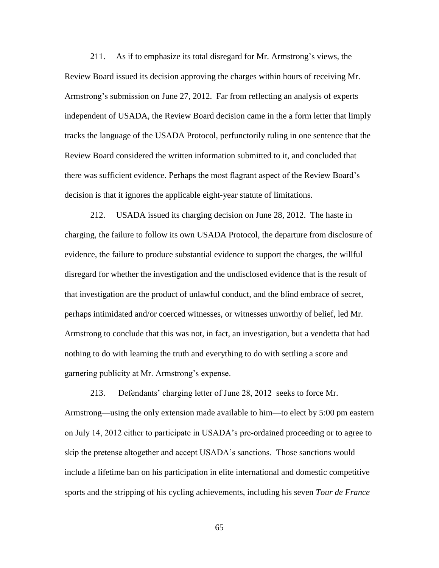211. As if to emphasize its total disregard for Mr. Armstrong's views, the Review Board issued its decision approving the charges within hours of receiving Mr. Armstrong's submission on June 27, 2012. Far from reflecting an analysis of experts independent of USADA, the Review Board decision came in the a form letter that limply tracks the language of the USADA Protocol, perfunctorily ruling in one sentence that the Review Board considered the written information submitted to it, and concluded that there was sufficient evidence. Perhaps the most flagrant aspect of the Review Board's decision is that it ignores the applicable eight-year statute of limitations.

212. USADA issued its charging decision on June 28, 2012. The haste in charging, the failure to follow its own USADA Protocol, the departure from disclosure of evidence, the failure to produce substantial evidence to support the charges, the willful disregard for whether the investigation and the undisclosed evidence that is the result of that investigation are the product of unlawful conduct, and the blind embrace of secret, perhaps intimidated and/or coerced witnesses, or witnesses unworthy of belief, led Mr. Armstrong to conclude that this was not, in fact, an investigation, but a vendetta that had nothing to do with learning the truth and everything to do with settling a score and garnering publicity at Mr. Armstrong's expense.

213. Defendants' charging letter of June 28, 2012 seeks to force Mr. Armstrong—using the only extension made available to him—to elect by 5:00 pm eastern on July 14, 2012 either to participate in USADA's pre-ordained proceeding or to agree to skip the pretense altogether and accept USADA's sanctions. Those sanctions would include a lifetime ban on his participation in elite international and domestic competitive sports and the stripping of his cycling achievements, including his seven *Tour de France*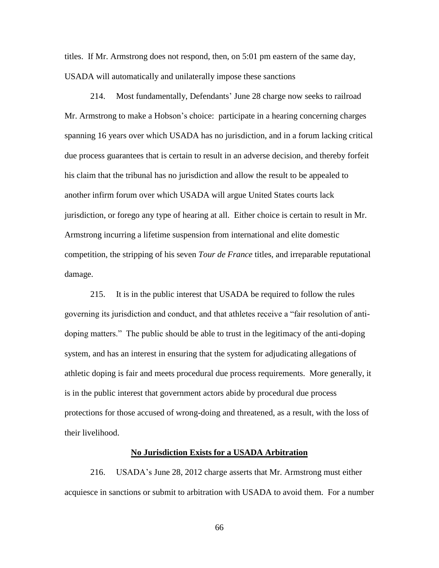titles. If Mr. Armstrong does not respond, then, on 5:01 pm eastern of the same day, USADA will automatically and unilaterally impose these sanctions

214. Most fundamentally, Defendants' June 28 charge now seeks to railroad Mr. Armstrong to make a Hobson's choice: participate in a hearing concerning charges spanning 16 years over which USADA has no jurisdiction, and in a forum lacking critical due process guarantees that is certain to result in an adverse decision, and thereby forfeit his claim that the tribunal has no jurisdiction and allow the result to be appealed to another infirm forum over which USADA will argue United States courts lack jurisdiction, or forego any type of hearing at all. Either choice is certain to result in Mr. Armstrong incurring a lifetime suspension from international and elite domestic competition, the stripping of his seven *Tour de France* titles*,* and irreparable reputational damage.

215. It is in the public interest that USADA be required to follow the rules governing its jurisdiction and conduct, and that athletes receive a "fair resolution of antidoping matters.‖ The public should be able to trust in the legitimacy of the anti-doping system, and has an interest in ensuring that the system for adjudicating allegations of athletic doping is fair and meets procedural due process requirements. More generally, it is in the public interest that government actors abide by procedural due process protections for those accused of wrong-doing and threatened, as a result, with the loss of their livelihood.

#### **No Jurisdiction Exists for a USADA Arbitration**

216. USADA's June 28, 2012 charge asserts that Mr. Armstrong must either acquiesce in sanctions or submit to arbitration with USADA to avoid them. For a number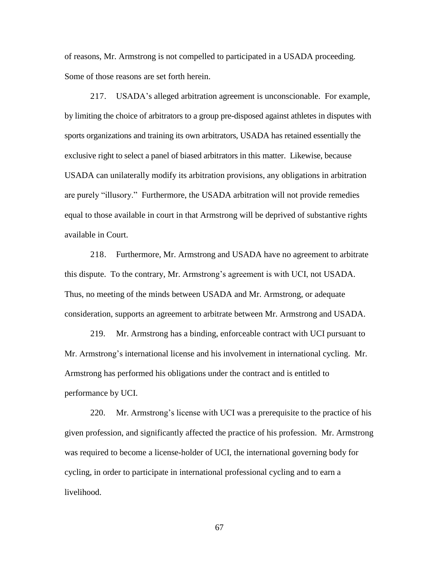of reasons, Mr. Armstrong is not compelled to participated in a USADA proceeding. Some of those reasons are set forth herein.

217. USADA's alleged arbitration agreement is unconscionable. For example, by limiting the choice of arbitrators to a group pre-disposed against athletes in disputes with sports organizations and training its own arbitrators, USADA has retained essentially the exclusive right to select a panel of biased arbitrators in this matter. Likewise, because USADA can unilaterally modify its arbitration provisions, any obligations in arbitration are purely "illusory." Furthermore, the USADA arbitration will not provide remedies equal to those available in court in that Armstrong will be deprived of substantive rights available in Court.

218. Furthermore, Mr. Armstrong and USADA have no agreement to arbitrate this dispute. To the contrary, Mr. Armstrong's agreement is with UCI, not USADA. Thus, no meeting of the minds between USADA and Mr. Armstrong, or adequate consideration, supports an agreement to arbitrate between Mr. Armstrong and USADA.

219. Mr. Armstrong has a binding, enforceable contract with UCI pursuant to Mr. Armstrong's international license and his involvement in international cycling. Mr. Armstrong has performed his obligations under the contract and is entitled to performance by UCI.

220. Mr. Armstrong's license with UCI was a prerequisite to the practice of his given profession, and significantly affected the practice of his profession. Mr. Armstrong was required to become a license-holder of UCI, the international governing body for cycling, in order to participate in international professional cycling and to earn a livelihood.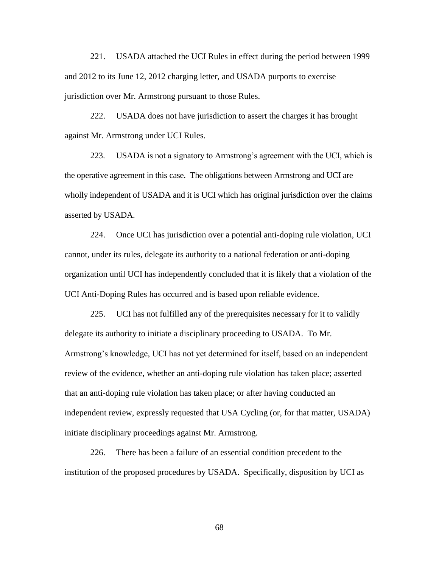221. USADA attached the UCI Rules in effect during the period between 1999 and 2012 to its June 12, 2012 charging letter, and USADA purports to exercise jurisdiction over Mr. Armstrong pursuant to those Rules.

222. USADA does not have jurisdiction to assert the charges it has brought against Mr. Armstrong under UCI Rules.

223. USADA is not a signatory to Armstrong's agreement with the UCI, which is the operative agreement in this case. The obligations between Armstrong and UCI are wholly independent of USADA and it is UCI which has original jurisdiction over the claims asserted by USADA.

224. Once UCI has jurisdiction over a potential anti-doping rule violation, UCI cannot, under its rules, delegate its authority to a national federation or anti-doping organization until UCI has independently concluded that it is likely that a violation of the UCI Anti-Doping Rules has occurred and is based upon reliable evidence.

225. UCI has not fulfilled any of the prerequisites necessary for it to validly delegate its authority to initiate a disciplinary proceeding to USADA. To Mr. Armstrong's knowledge, UCI has not yet determined for itself, based on an independent review of the evidence, whether an anti-doping rule violation has taken place; asserted that an anti-doping rule violation has taken place; or after having conducted an independent review, expressly requested that USA Cycling (or, for that matter, USADA) initiate disciplinary proceedings against Mr. Armstrong.

226. There has been a failure of an essential condition precedent to the institution of the proposed procedures by USADA. Specifically, disposition by UCI as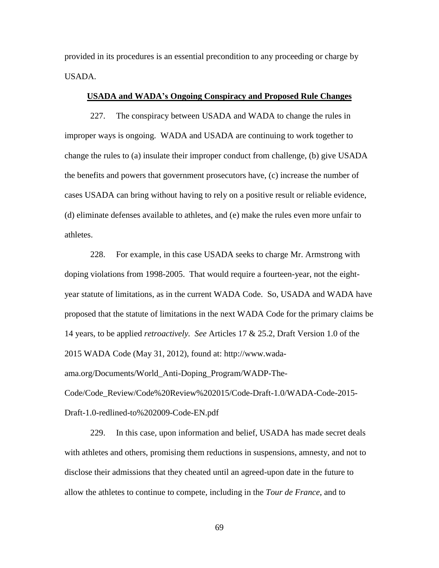provided in its procedures is an essential precondition to any proceeding or charge by USADA.

## **USADA and WADA's Ongoing Conspiracy and Proposed Rule Changes**

227. The conspiracy between USADA and WADA to change the rules in improper ways is ongoing. WADA and USADA are continuing to work together to change the rules to (a) insulate their improper conduct from challenge, (b) give USADA the benefits and powers that government prosecutors have, (c) increase the number of cases USADA can bring without having to rely on a positive result or reliable evidence, (d) eliminate defenses available to athletes, and (e) make the rules even more unfair to athletes.

228. For example, in this case USADA seeks to charge Mr. Armstrong with doping violations from 1998-2005. That would require a fourteen-year, not the eightyear statute of limitations, as in the current WADA Code. So, USADA and WADA have proposed that the statute of limitations in the next WADA Code for the primary claims be 14 years, to be applied *retroactively. See* Articles 17 & 25.2, Draft Version 1.0 of the 2015 WADA Code (May 31, 2012), found at: http://www.wadaama.org/Documents/World\_Anti-Doping\_Program/WADP-The-Code/Code\_Review/Code%20Review%202015/Code-Draft-1.0/WADA-Code-2015- Draft-1.0-redlined-to%202009-Code-EN.pdf

229. In this case, upon information and belief, USADA has made secret deals with athletes and others, promising them reductions in suspensions, amnesty, and not to disclose their admissions that they cheated until an agreed-upon date in the future to allow the athletes to continue to compete, including in the *Tour de France*, and to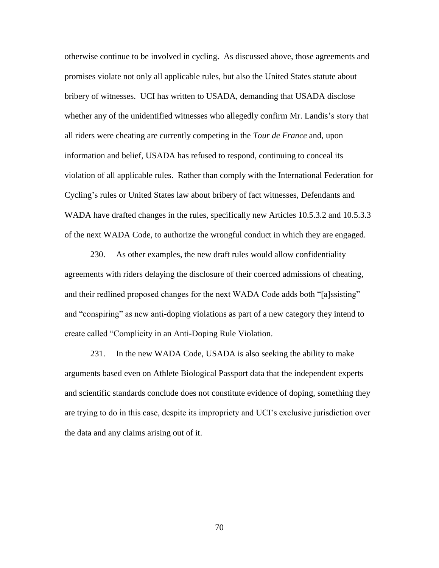otherwise continue to be involved in cycling. As discussed above, those agreements and promises violate not only all applicable rules, but also the United States statute about bribery of witnesses. UCI ha*s* written to USADA, demanding that USADA disclose whether any of the unidentified witnesses who allegedly confirm Mr. Landis's story that all riders were cheating are currently competing in the *Tour de France* and, upon information and belief, USADA has refused to respond, continuing to conceal its violation of all applicable rules. Rather than comply with the International Federation for Cycling's rules or United States law about bribery of fact witnesses, Defendants and WADA have drafted changes in the rules, specifically new Articles 10.5.3.2 and 10.5.3.3 of the next WADA Code, to authorize the wrongful conduct in which they are engaged.

230. As other examples, the new draft rules would allow confidentiality agreements with riders delaying the disclosure of their coerced admissions of cheating, and their redlined proposed changes for the next WADA Code adds both "[a]ssisting" and "conspiring" as new anti-doping violations as part of a new category they intend to create called "Complicity in an Anti-Doping Rule Violation.

231. In the new WADA Code, USADA is also seeking the ability to make arguments based even on Athlete Biological Passport data that the independent experts and scientific standards conclude does not constitute evidence of doping, something they are trying to do in this case, despite its impropriety and UCI's exclusive jurisdiction over the data and any claims arising out of it.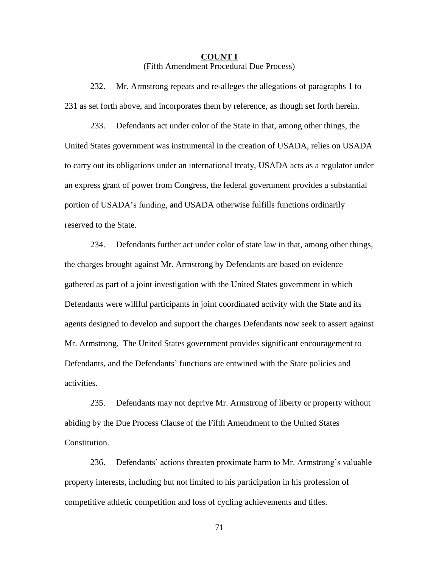# **COUNT I** (Fifth Amendment Procedural Due Process)

232. Mr. Armstrong repeats and re-alleges the allegations of paragraphs 1 to 231 as set forth above, and incorporates them by reference, as though set forth herein.

233. Defendants act under color of the State in that, among other things, the United States government was instrumental in the creation of USADA, relies on USADA to carry out its obligations under an international treaty, USADA acts as a regulator under an express grant of power from Congress, the federal government provides a substantial portion of USADA's funding, and USADA otherwise fulfills functions ordinarily reserved to the State.

234. Defendants further act under color of state law in that, among other things, the charges brought against Mr. Armstrong by Defendants are based on evidence gathered as part of a joint investigation with the United States government in which Defendants were willful participants in joint coordinated activity with the State and its agents designed to develop and support the charges Defendants now seek to assert against Mr. Armstrong. The United States government provides significant encouragement to Defendants, and the Defendants' functions are entwined with the State policies and activities.

235. Defendants may not deprive Mr. Armstrong of liberty or property without abiding by the Due Process Clause of the Fifth Amendment to the United States Constitution.

236. Defendants' actions threaten proximate harm to Mr. Armstrong's valuable property interests, including but not limited to his participation in his profession of competitive athletic competition and loss of cycling achievements and titles.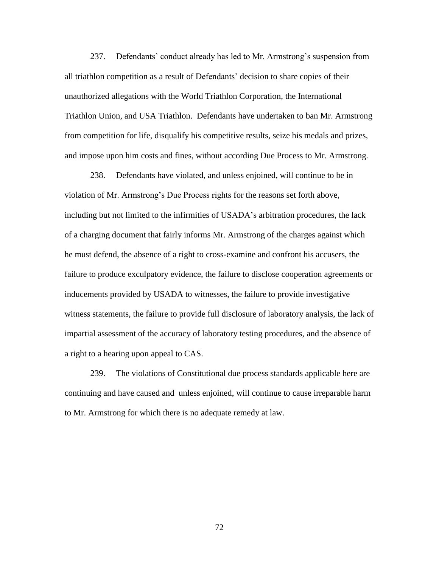237. Defendants' conduct already has led to Mr. Armstrong's suspension from all triathlon competition as a result of Defendants' decision to share copies of their unauthorized allegations with the World Triathlon Corporation, the International Triathlon Union, and USA Triathlon. Defendants have undertaken to ban Mr. Armstrong from competition for life, disqualify his competitive results, seize his medals and prizes, and impose upon him costs and fines, without according Due Process to Mr. Armstrong.

238. Defendants have violated, and unless enjoined, will continue to be in violation of Mr. Armstrong's Due Process rights for the reasons set forth above, including but not limited to the infirmities of USADA's arbitration procedures, the lack of a charging document that fairly informs Mr. Armstrong of the charges against which he must defend, the absence of a right to cross-examine and confront his accusers, the failure to produce exculpatory evidence, the failure to disclose cooperation agreements or inducements provided by USADA to witnesses, the failure to provide investigative witness statements, the failure to provide full disclosure of laboratory analysis, the lack of impartial assessment of the accuracy of laboratory testing procedures, and the absence of a right to a hearing upon appeal to CAS.

239. The violations of Constitutional due process standards applicable here are continuing and have caused and unless enjoined, will continue to cause irreparable harm to Mr. Armstrong for which there is no adequate remedy at law.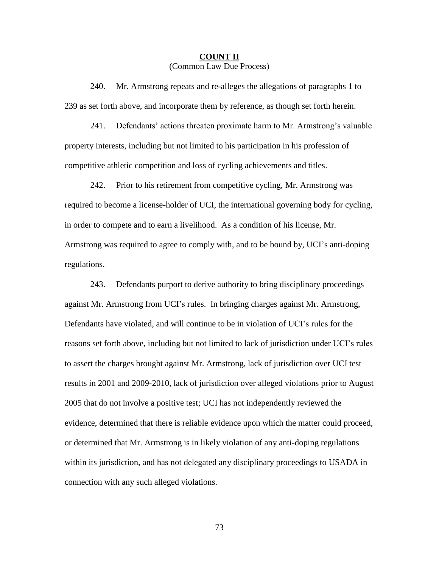# **COUNT II** (Common Law Due Process)

240. Mr. Armstrong repeats and re-alleges the allegations of paragraphs 1 to 239 as set forth above, and incorporate them by reference, as though set forth herein.

241. Defendants' actions threaten proximate harm to Mr. Armstrong's valuable property interests, including but not limited to his participation in his profession of competitive athletic competition and loss of cycling achievements and titles.

242. Prior to his retirement from competitive cycling, Mr. Armstrong was required to become a license-holder of UCI, the international governing body for cycling, in order to compete and to earn a livelihood. As a condition of his license, Mr. Armstrong was required to agree to comply with, and to be bound by, UCI's anti-doping regulations.

243. Defendants purport to derive authority to bring disciplinary proceedings against Mr. Armstrong from UCI's rules. In bringing charges against Mr. Armstrong, Defendants have violated, and will continue to be in violation of UCI's rules for the reasons set forth above, including but not limited to lack of jurisdiction under UCI's rules to assert the charges brought against Mr. Armstrong, lack of jurisdiction over UCI test results in 2001 and 2009-2010, lack of jurisdiction over alleged violations prior to August 2005 that do not involve a positive test; UCI has not independently reviewed the evidence, determined that there is reliable evidence upon which the matter could proceed, or determined that Mr. Armstrong is in likely violation of any anti-doping regulations within its jurisdiction, and has not delegated any disciplinary proceedings to USADA in connection with any such alleged violations.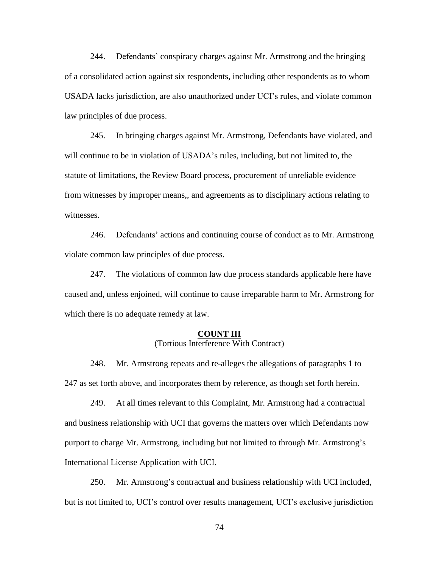244. Defendants' conspiracy charges against Mr. Armstrong and the bringing of a consolidated action against six respondents, including other respondents as to whom USADA lacks jurisdiction, are also unauthorized under UCI's rules, and violate common law principles of due process.

245. In bringing charges against Mr. Armstrong, Defendants have violated, and will continue to be in violation of USADA's rules, including, but not limited to, the statute of limitations, the Review Board process, procurement of unreliable evidence from witnesses by improper means,, and agreements as to disciplinary actions relating to witnesses.

246. Defendants' actions and continuing course of conduct as to Mr. Armstrong violate common law principles of due process.

247. The violations of common law due process standards applicable here have caused and, unless enjoined, will continue to cause irreparable harm to Mr. Armstrong for which there is no adequate remedy at law.

#### **COUNT III**

(Tortious Interference With Contract)

248. Mr. Armstrong repeats and re-alleges the allegations of paragraphs 1 to 247 as set forth above, and incorporates them by reference, as though set forth herein.

249. At all times relevant to this Complaint, Mr. Armstrong had a contractual and business relationship with UCI that governs the matters over which Defendants now purport to charge Mr. Armstrong, including but not limited to through Mr. Armstrong's International License Application with UCI.

250. Mr. Armstrong's contractual and business relationship with UCI included, but is not limited to, UCI's control over results management, UCI's exclusive jurisdiction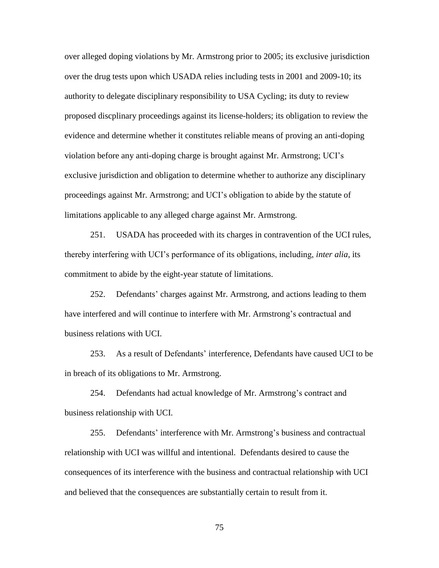over alleged doping violations by Mr. Armstrong prior to 2005; its exclusive jurisdiction over the drug tests upon which USADA relies including tests in 2001 and 2009-10; its authority to delegate disciplinary responsibility to USA Cycling; its duty to review proposed discplinary proceedings against its license-holders; its obligation to review the evidence and determine whether it constitutes reliable means of proving an anti-doping violation before any anti-doping charge is brought against Mr. Armstrong; UCI's exclusive jurisdiction and obligation to determine whether to authorize any disciplinary proceedings against Mr. Armstrong; and UCI's obligation to abide by the statute of limitations applicable to any alleged charge against Mr. Armstrong.

251. USADA has proceeded with its charges in contravention of the UCI rules, thereby interfering with UCI's performance of its obligations, including, *inter alia*, its commitment to abide by the eight-year statute of limitations.

252. Defendants' charges against Mr. Armstrong, and actions leading to them have interfered and will continue to interfere with Mr. Armstrong's contractual and business relations with UCI.

253. As a result of Defendants' interference, Defendants have caused UCI to be in breach of its obligations to Mr. Armstrong.

254. Defendants had actual knowledge of Mr. Armstrong's contract and business relationship with UCI.

255. Defendants' interference with Mr. Armstrong's business and contractual relationship with UCI was willful and intentional. Defendants desired to cause the consequences of its interference with the business and contractual relationship with UCI and believed that the consequences are substantially certain to result from it.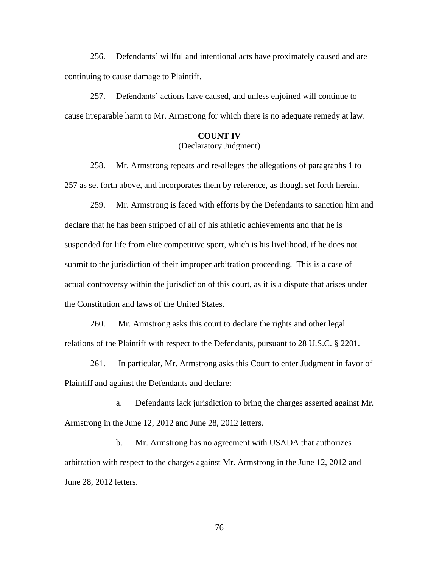256. Defendants' willful and intentional acts have proximately caused and are continuing to cause damage to Plaintiff.

257. Defendants' actions have caused, and unless enjoined will continue to cause irreparable harm to Mr. Armstrong for which there is no adequate remedy at law.

# **COUNT IV** (Declaratory Judgment)

258. Mr. Armstrong repeats and re-alleges the allegations of paragraphs 1 to 257 as set forth above, and incorporates them by reference, as though set forth herein.

259. Mr. Armstrong is faced with efforts by the Defendants to sanction him and declare that he has been stripped of all of his athletic achievements and that he is suspended for life from elite competitive sport, which is his livelihood, if he does not submit to the jurisdiction of their improper arbitration proceeding. This is a case of actual controversy within the jurisdiction of this court, as it is a dispute that arises under the Constitution and laws of the United States.

260. Mr. Armstrong asks this court to declare the rights and other legal relations of the Plaintiff with respect to the Defendants, pursuant to 28 U.S.C. § 2201.

261. In particular, Mr. Armstrong asks this Court to enter Judgment in favor of Plaintiff and against the Defendants and declare:

a. Defendants lack jurisdiction to bring the charges asserted against Mr. Armstrong in the June 12, 2012 and June 28, 2012 letters.

b. Mr. Armstrong has no agreement with USADA that authorizes arbitration with respect to the charges against Mr. Armstrong in the June 12, 2012 and June 28, 2012 letters.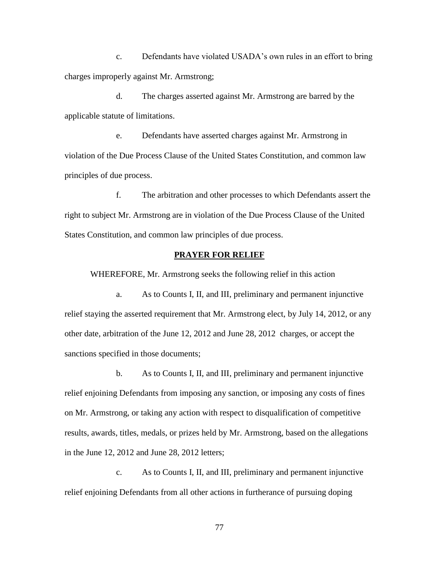c. Defendants have violated USADA's own rules in an effort to bring charges improperly against Mr. Armstrong;

d. The charges asserted against Mr. Armstrong are barred by the applicable statute of limitations.

e. Defendants have asserted charges against Mr. Armstrong in violation of the Due Process Clause of the United States Constitution, and common law principles of due process.

f. The arbitration and other processes to which Defendants assert the right to subject Mr. Armstrong are in violation of the Due Process Clause of the United States Constitution, and common law principles of due process.

### **PRAYER FOR RELIEF**

WHEREFORE, Mr. Armstrong seeks the following relief in this action

a. As to Counts I, II, and III, preliminary and permanent injunctive relief staying the asserted requirement that Mr. Armstrong elect, by July 14, 2012, or any other date, arbitration of the June 12, 2012 and June 28, 2012 charges, or accept the sanctions specified in those documents;

b. As to Counts I, II, and III, preliminary and permanent injunctive relief enjoining Defendants from imposing any sanction, or imposing any costs of fines on Mr. Armstrong, or taking any action with respect to disqualification of competitive results, awards, titles, medals, or prizes held by Mr. Armstrong, based on the allegations in the June 12, 2012 and June 28, 2012 letters;

c. As to Counts I, II, and III, preliminary and permanent injunctive relief enjoining Defendants from all other actions in furtherance of pursuing doping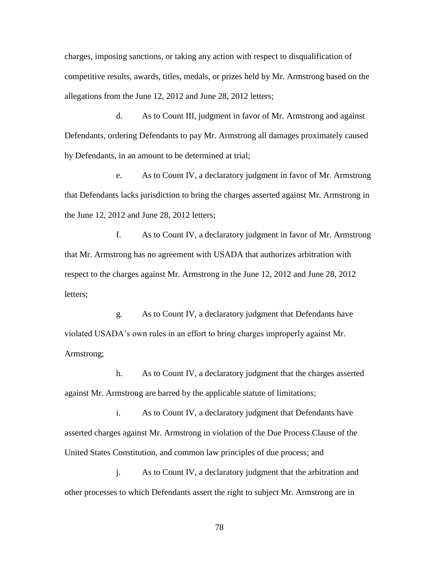charges, imposing sanctions, or taking any action with respect to disqualification of competitive results, awards, titles, medals, or prizes held by Mr. Armstrong based on the allegations from the June 12, 2012 and June 28, 2012 letters;

d. As to Count III, judgment in favor of Mr. Armstrong and against Defendants, ordering Defendants to pay Mr. Armstrong all damages proximately caused by Defendants, in an amount to be determined at trial;

e. As to Count IV, a declaratory judgment in favor of Mr. Armstrong that Defendants lacks jurisdiction to bring the charges asserted against Mr. Armstrong in the June 12, 2012 and June 28, 2012 letters;

f. As to Count IV, a declaratory judgment in favor of Mr. Armstrong that Mr. Armstrong has no agreement with USADA that authorizes arbitration with respect to the charges against Mr. Armstrong in the June 12, 2012 and June 28, 2012 letters;

g. As to Count IV, a declaratory judgment that Defendants have violated USADA's own rules in an effort to bring charges improperly against Mr. Armstrong;

h. As to Count IV, a declaratory judgment that the charges asserted against Mr. Armstrong are barred by the applicable statute of limitations;

i. As to Count IV, a declaratory judgment that Defendants have asserted charges against Mr. Armstrong in violation of the Due Process Clause of the United States Constitution, and common law principles of due process; and

j. As to Count IV, a declaratory judgment that the arbitration and other processes to which Defendants assert the right to subject Mr. Armstrong are in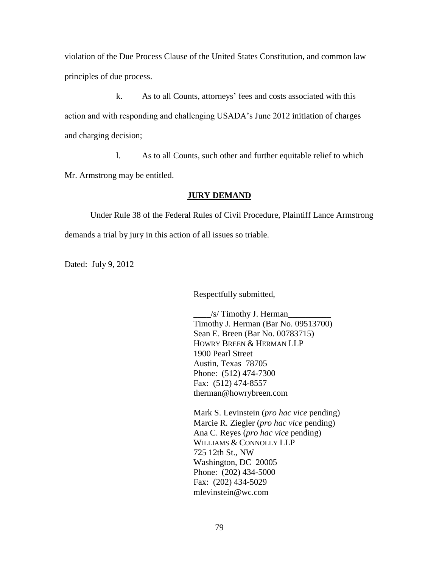violation of the Due Process Clause of the United States Constitution, and common law principles of due process.

k. As to all Counts, attorneys' fees and costs associated with this action and with responding and challenging USADA's June 2012 initiation of charges and charging decision;

l. As to all Counts, such other and further equitable relief to which

Mr. Armstrong may be entitled.

# **JURY DEMAND**

Under Rule 38 of the Federal Rules of Civil Procedure, Plaintiff Lance Armstrong demands a trial by jury in this action of all issues so triable.

Dated: July 9, 2012

Respectfully submitted,

/s/ Timothy J. Herman Timothy J. Herman (Bar No. 09513700) Sean E. Breen (Bar No. 00783715) HOWRY BREEN & HERMAN LLP 1900 Pearl Street Austin, Texas 78705 Phone: (512) 474-7300 Fax: (512) 474-8557 therman@howrybreen.com

Mark S. Levinstein (*pro hac vice* pending) Marcie R. Ziegler (*pro hac vice* pending) Ana C. Reyes (*pro hac vice* pending) WILLIAMS & CONNOLLY LLP 725 12th St., NW Washington, DC 20005 Phone: (202) 434-5000 Fax: (202) 434-5029 mlevinstein@wc.com